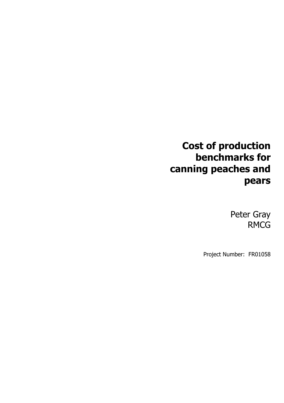## **Cost of production benchmarks for canning peaches and pears**

Peter Gray RMCG

Project Number: FR01058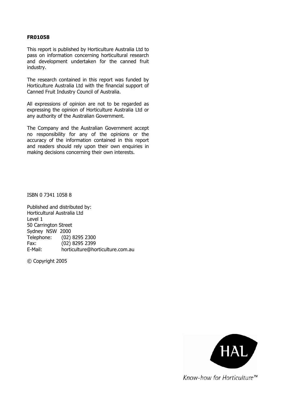#### **FR01058**

This report is published by Horticulture Australia Ltd to pass on information concerning horticultural research and development undertaken for the canned fruit industry.

The research contained in this report was funded by Horticulture Australia Ltd with the financial support of Canned Fruit Industry Council of Australia.

All expressions of opinion are not to be regarded as expressing the opinion of Horticulture Australia Ltd or any authority of the Australian Government.

The Company and the Australian Government accept no responsibility for any of the opinions or the accuracy of the information contained in this report and readers should rely upon their own enquiries in making decisions concerning their own interests.

ISBN 0 7341 1058 8

Published and distributed by: Horticultural Australia Ltd Level 1 50 Carrington Street Sydney NSW 2000 Telephone: (02) 8295 2300 Fax: (02) 8295 2399 E-Mail: horticulture@horticulture.com.au

© Copyright 2005



Know-how for Horticulture<sup>™</sup>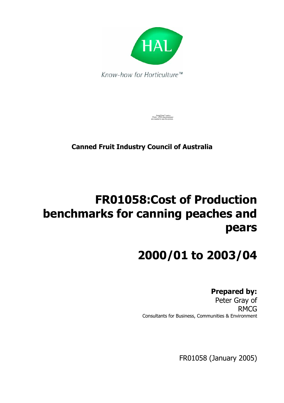

QuickTime™ and a Photo - JPEG decompressor are needed to see this picture.

**Canned Fruit Industry Council of Australia** 

# **FR01058:Cost of Production benchmarks for canning peaches and pears**

# **2000/01 to 2003/04**

### **Prepared by:**

 Peter Gray of RMCG Consultants for Business, Communities & Environment

FR01058 (January 2005)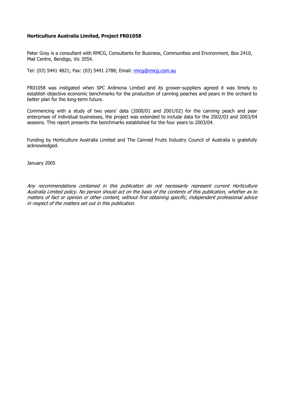#### **Horticulture Australia Limited, Project FR01058**

Peter Gray is a consultant with RMCG, Consultants for Business, Communities and Environment, Box 2410, Mail Centre, Bendigo, Vic 3554.

Tel: (03) 5441 4821; Fax: (03) 5441 2788; Email: rmcq@rmcq.com.au

FR01058 was instigated when SPC Ardmona Limited and its grower-suppliers agreed it was timely to establish objective economic benchmarks for the production of canning peaches and pears in the orchard to better plan for the long-term future.

Commencing with a study of two years' data (2000/01 and 2001/02) for the canning peach and pear enterprises of individual businesses, the project was extended to include data for the 2002/03 and 2003/04 seasons. This report presents the benchmarks established for the four years to 2003/04.

Funding by Horticulture Australia Limited and The Canned Fruits Industry Council of Australia is gratefully acknowledged.

January 2005

Any recommendations contained in this publication do not necessarily represent current Horticulture Australia Limited policy. No person should act on the basis of the contents of this publication, whether as to matters of fact or opinion or other content, without first obtaining specific, independent professional advice in respect of the matters set out in this publication.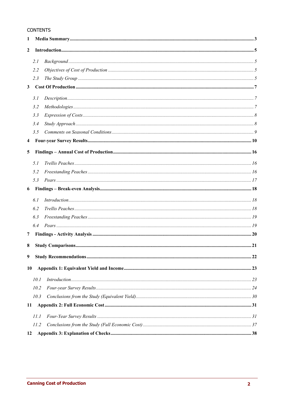#### **CONTENTS**

| $\mathbf{1}$            |      |  |  |  |
|-------------------------|------|--|--|--|
| $\mathbf{2}$            |      |  |  |  |
|                         | 2.1  |  |  |  |
|                         | 2.2  |  |  |  |
|                         | 2.3  |  |  |  |
| 3 <sup>7</sup>          |      |  |  |  |
|                         | 3.1  |  |  |  |
|                         | 3.2  |  |  |  |
|                         | 3.3  |  |  |  |
|                         | 3.4  |  |  |  |
|                         | 3.5  |  |  |  |
| $\overline{\mathbf{4}}$ |      |  |  |  |
| 5                       |      |  |  |  |
|                         |      |  |  |  |
|                         | 5.1  |  |  |  |
|                         | 5.2  |  |  |  |
|                         | 5.3  |  |  |  |
| 6                       |      |  |  |  |
|                         | 6.1  |  |  |  |
|                         | 6.2  |  |  |  |
|                         | 6.3  |  |  |  |
|                         | 6.4  |  |  |  |
| 7                       |      |  |  |  |
| 8                       |      |  |  |  |
| 9                       |      |  |  |  |
| 10                      |      |  |  |  |
|                         |      |  |  |  |
|                         | 10.1 |  |  |  |
|                         | 10.2 |  |  |  |
|                         | 10.3 |  |  |  |
| 11                      |      |  |  |  |
|                         | 11.1 |  |  |  |
|                         | 11.2 |  |  |  |
| 12                      |      |  |  |  |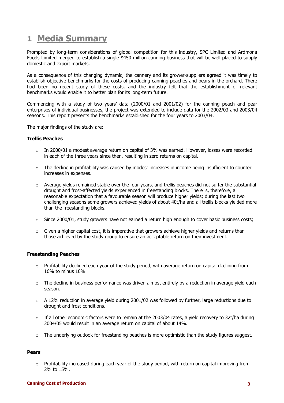### **1 Media Summary**

Prompted by long-term considerations of global competition for this industry, SPC Limited and Ardmona Foods Limited merged to establish a single \$450 million canning business that will be well placed to supply domestic and export markets.

As a consequence of this changing dynamic, the cannery and its grower-suppliers agreed it was timely to establish objective benchmarks for the costs of producing canning peaches and pears in the orchard. There had been no recent study of these costs, and the industry felt that the establishment of relevant benchmarks would enable it to better plan for its long-term future.

Commencing with a study of two years' data (2000/01 and 2001/02) for the canning peach and pear enterprises of individual businesses, the project was extended to include data for the 2002/03 and 2003/04 seasons. This report presents the benchmarks established for the four years to 2003/04.

The major findings of the study are:

#### **Trellis Peaches**

- $\circ$  In 2000/01 a modest average return on capital of 3% was earned. However, losses were recorded in each of the three years since then, resulting in zero returns on capital.
- $\circ$  The decline in profitability was caused by modest increases in income being insufficient to counter increases in expenses.
- o Average yields remained stable over the four years, and trellis peaches did not suffer the substantial drought and frost-affected yields experienced in freestanding blocks. There is, therefore, a reasonable expectation that a favourable season will produce higher yields; during the last two challenging seasons some growers achieved yields of about 40t/ha and all trellis blocks yielded more than the freestanding blocks.
- $\circ$  Since 2000/01, study growers have not earned a return high enough to cover basic business costs;
- $\circ$  Given a higher capital cost, it is imperative that growers achieve higher yields and returns than those achieved by the study group to ensure an acceptable return on their investment.

#### **Freestanding Peaches**

- $\circ$  Profitability declined each year of the study period, with average return on capital declining from 16% to minus 10%.
- $\circ$  The decline in business performance was driven almost entirely by a reduction in average vield each season.
- $\circ$  A 12% reduction in average yield during 2001/02 was followed by further, large reductions due to drought and frost conditions.
- $\circ$  If all other economic factors were to remain at the 2003/04 rates, a yield recovery to 32t/ha during 2004/05 would result in an average return on capital of about 14%.
- $\circ$  The underlying outlook for freestanding peaches is more optimistic than the study figures suggest.

#### **Pears**

 $\circ$  Profitability increased during each year of the study period, with return on capital improving from 2% to 15%.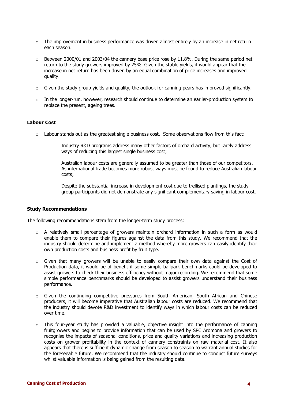- $\circ$  The improvement in business performance was driven almost entirely by an increase in net return each season.
- $\circ$  Between 2000/01 and 2003/04 the cannery base price rose by 11.8%. During the same period net return to the study growers improved by 25%. Given the stable yields, it would appear that the increase in net return has been driven by an equal combination of price increases and improved quality.
- $\circ$  Given the study group yields and quality, the outlook for canning pears has improved significantly.
- $\circ$  In the longer-run, however, research should continue to determine an earlier-production system to replace the present, ageing trees.

#### **Labour Cost**

 $\circ$  Labour stands out as the greatest single business cost. Some observations flow from this fact:

Industry R&D programs address many other factors of orchard activity, but rarely address ways of reducing this largest single business cost;

Australian labour costs are generally assumed to be greater than those of our competitors. As international trade becomes more robust ways must be found to reduce Australian labour costs;

Despite the substantial increase in development cost due to trellised plantings, the study group participants did not demonstrate any significant complementary saving in labour cost.

#### **Study Recommendations**

The following recommendations stem from the longer-term study process:

- $\circ$  A relatively small percentage of growers maintain orchard information in such a form as would enable them to compare their figures against the data from this study. We recommend that the industry should determine and implement a method whereby more growers can easily identify their own production costs and business profit by fruit type.
- $\circ$  Given that many growers will be unable to easily compare their own data against the Cost of Production data, it would be of benefit if some simple ballpark benchmarks could be developed to assist growers to check their business efficiency without major recording. We recommend that some simple performance benchmarks should be developed to assist growers understand their business performance.
- o Given the continuing competitive pressures from South American, South African and Chinese producers, it will become imperative that Australian labour costs are reduced. We recommend that the industry should devote R&D investment to identify ways in which labour costs can be reduced over time.
- o This four-year study has provided a valuable, objective insight into the performance of canning fruitgrowers and begins to provide information that can be used by SPC Ardmona and growers to recognise the impacts of seasonal conditions, price and quality variations and increasing production costs on grower profitability in the context of cannery constraints on raw material cost. It also appears that there is sufficient dynamic change from season to season to warrant annual studies for the foreseeable future. We recommend that the industry should continue to conduct future surveys whilst valuable information is being gained from the resulting data.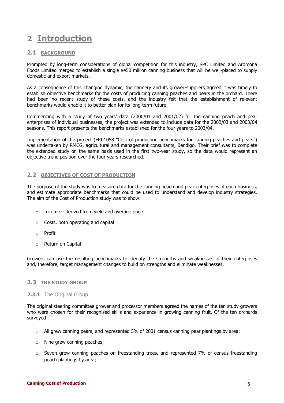### **2 Introduction**

#### **2.1 BACKGROUND**

Prompted by long-term considerations of global competition for this industry, SPC Limited and Ardmona Foods Limited merged to establish a single \$450 million canning business that will be well-placed to supply domestic and export markets.

As a consequence of this changing dynamic, the cannery and its grower-suppliers agreed it was timely to establish objective benchmarks for the costs of producing canning peaches and pears in the orchard. There had been no recent study of these costs, and the industry felt that the establishment of relevant benchmarks would enable it to better plan for its long-term future.

Commencing with a study of two years' data (2000/01 and 2001/02) for the canning peach and pear enterprises of individual businesses, the project was extended to include data for the 2002/03 and 2003/04 seasons. This report presents the benchmarks established for the four years to 2003/04.

Implementation of the project (FR01058 "Cost of production benchmarks for canning peaches and pears") was undertaken by RMCG, agricultural and management consultants, Bendigo. Their brief was to complete the extended study on the same basis used in the first two-year study, so the data would represent an objective trend position over the four years researched.

#### **2.2 OBJECTIVES OF COST OF PRODUCTION**

The purpose of the study was to measure data for the canning peach and pear enterprises of each business, and estimate appropriate benchmarks that could be used to understand and develop industry strategies. The aim of the Cost of Production study was to show:

- $\circ$  Income derived from yield and average price
- o Costs, both operating and capital
- o Profit
- o Return on Capital

Growers can use the resulting benchmarks to identify the strengths and weaknesses of their enterprises and, therefore, target management changes to build on strengths and eliminate weaknesses.

#### **2.3 THE STUDY GROUP**

#### **2.3.1** The Original Group

The original steering committee grower and processor members agreed the names of the ten study growers who were chosen for their recognised skills and experience in growing canning fruit. Of the ten orchards surveyed:

- o All grew canning pears, and represented 5% of 2001 census canning pear plantings by area;
- o Nine grew canning peaches;
- $\circ$  Seven grew canning peaches on freestanding trees, and represented 7% of census freestanding peach plantings by area;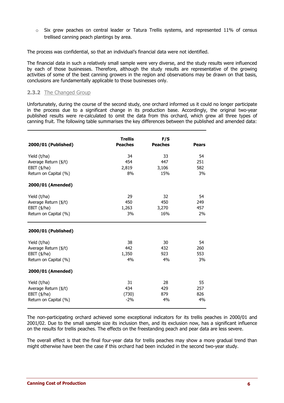$\circ$  Six grew peaches on central leader or Tatura Trellis systems, and represented 11% of census trellised canning peach plantings by area.

The process was confidential, so that an individual's financial data were not identified.

The financial data in such a relatively small sample were very diverse, and the study results were influenced by each of those businesses. Therefore, although the study results are representative of the growing activities of some of the best canning growers in the region and observations may be drawn on that basis, conclusions are fundamentally applicable to those businesses only.

#### **2.3.2** The Changed Group

Unfortunately, during the course of the second study, one orchard informed us it could no longer participate in the process due to a significant change in its production base. Accordingly, the original two-year published results were re-calculated to omit the data from this orchard, which grew all three types of canning fruit. The following table summarises the key differences between the published and amended data:

| 2000/01 (Published)                                                                                         | <b>Trellis</b><br><b>Peaches</b> | F/S<br><b>Peaches</b>     | <b>Pears</b>           |
|-------------------------------------------------------------------------------------------------------------|----------------------------------|---------------------------|------------------------|
| Yield (t/ha)<br>Average Return (\$/t)<br>EBIT $(\frac{4}{h})$<br>Return on Capital (%)<br>2000/01 (Amended) | 34<br>454<br>2,819<br>8%         | 33<br>447<br>3,106<br>15% | 54<br>251<br>582<br>3% |
| Yield (t/ha)<br>Average Return (\$/t)<br>EBIT $(\frac{4}{h})$<br>Return on Capital (%)                      | 29<br>450<br>1,263<br>3%         | 32<br>450<br>3,270<br>16% | 54<br>249<br>457<br>2% |
| 2000/01 (Published)                                                                                         |                                  |                           |                        |
| Yield (t/ha)<br>Average Return (\$/t)<br>EBIT $(\frac{4}{h})$<br>Return on Capital (%)                      | 38<br>442<br>1,350<br>4%         | 30<br>432<br>923<br>4%    | 54<br>260<br>553<br>3% |
| 2000/01 (Amended)                                                                                           |                                  |                           |                        |
| Yield (t/ha)<br>Average Return (\$/t)<br>EBIT $(\frac{4}{h})$<br>Return on Capital (%)                      | 31<br>434<br>(730)<br>$-2%$      | 28<br>429<br>879<br>4%    | 55<br>257<br>826<br>4% |

The non-participating orchard achieved some exceptional indicators for its trellis peaches in 2000/01 and 2001/02. Due to the small sample size its inclusion then, and its exclusion now, has a significant influence on the results for trellis peaches. The effects on the freestanding peach and pear data are less severe.

The overall effect is that the final four-year data for trellis peaches may show a more gradual trend than might otherwise have been the case if this orchard had been included in the second two-year study.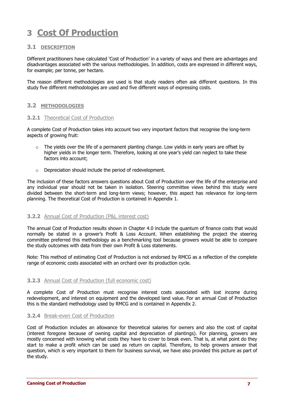### **3 Cost Of Production**

#### **3.1 DESCRIPTION**

Different practitioners have calculated 'Cost of Production' in a variety of ways and there are advantages and disadvantages associated with the various methodologies. In addition, costs are expressed in different ways, for example; per tonne, per hectare.

The reason different methodologies are used is that study readers often ask different questions. In this study five different methodologies are used and five different ways of expressing costs.

#### **3.2 METHODOLOGIES**

#### **3.2.1** Theoretical Cost of Production

A complete Cost of Production takes into account two very important factors that recognise the long-term aspects of growing fruit:

- $\circ$  The yields over the life of a permanent planting change. Low yields in early years are offset by higher yields in the longer term. Therefore, looking at one year's yield can neglect to take these factors into account;
- o Depreciation should include the period of redevelopment.

The inclusion of these factors answers questions about Cost of Production over the life of the enterprise and any individual year should not be taken in isolation. Steering committee views behind this study were divided between the short-term and long-term views; however, this aspect has relevance for long-term planning. The theoretical Cost of Production is contained in Appendix 1.

#### **3.2.2** Annual Cost of Production (P&L interest cost)

The annual Cost of Production results shown in Chapter 4.0 include the quantum of finance costs that would normally be stated in a grower's Profit & Loss Account. When establishing the project the steering committee preferred this methodology as a benchmarking tool because growers would be able to compare the study outcomes with data from their own Profit & Loss statements.

Note: This method of estimating Cost of Production is not endorsed by RMCG as a reflection of the complete range of economic costs associated with an orchard over its production cycle.

#### **3.2.3** Annual Cost of Production (full economic cost)

A complete Cost of Production must recognise interest costs associated with lost income during redevelopment, and interest on equipment and the developed land value. For an annual Cost of Production this is the standard methodology used by RMCG and is contained in Appendix 2.

#### **3.2.4** Break-even Cost of Production

Cost of Production includes an allowance for theoretical salaries for owners and also the cost of capital (interest foregone because of owning capital and depreciation of plantings). For planning, growers are mostly concerned with knowing what costs they have to cover to break even. That is, at what point do they start to make a profit which can be used as return on capital. Therefore, to help growers answer that question, which is very important to them for business survival, we have also provided this picture as part of the study.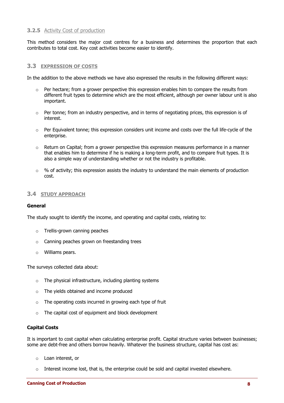#### **3.2.5** Activity Cost of production

This method considers the major cost centres for a business and determines the proportion that each contributes to total cost. Key cost activities become easier to identify.

#### **3.3 EXPRESSION OF COSTS**

In the addition to the above methods we have also expressed the results in the following different ways:

- $\circ$  Per hectare; from a grower perspective this expression enables him to compare the results from different fruit types to determine which are the most efficient, although per owner labour unit is also important.
- o Per tonne; from an industry perspective, and in terms of negotiating prices, this expression is of interest.
- $\circ$  Per Equivalent tonne; this expression considers unit income and costs over the full life-cycle of the enterprise.
- o Return on Capital; from a grower perspective this expression measures performance in a manner that enables him to determine if he is making a long-term profit, and to compare fruit types. It is also a simple way of understanding whether or not the industry is profitable.
- $\circ$  % of activity; this expression assists the industry to understand the main elements of production cost.

#### **3.4 STUDY APPROACH**

#### **General**

The study sought to identify the income, and operating and capital costs, relating to:

- o Trellis-grown canning peaches
- o Canning peaches grown on freestanding trees
- o Williams pears.

The surveys collected data about:

- $\circ$  The physical infrastructure, including planting systems
- o The yields obtained and income produced
- $\circ$  The operating costs incurred in growing each type of fruit
- o The capital cost of equipment and block development

#### **Capital Costs**

It is important to cost capital when calculating enterprise profit. Capital structure varies between businesses; some are debt-free and others borrow heavily. Whatever the business structure, capital has cost as:

- o Loan interest, or
- $\circ$  Interest income lost, that is, the enterprise could be sold and capital invested elsewhere.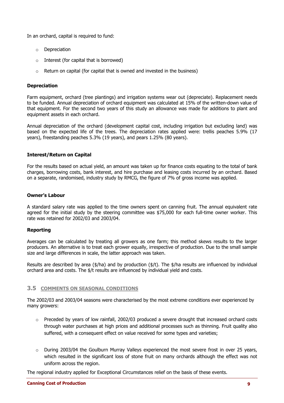In an orchard, capital is required to fund:

- o Depreciation
- o Interest (for capital that is borrowed)
- o Return on capital (for capital that is owned and invested in the business)

#### **Depreciation**

Farm equipment, orchard (tree plantings) and irrigation systems wear out (depreciate). Replacement needs to be funded. Annual depreciation of orchard equipment was calculated at 15% of the written-down value of that equipment. For the second two years of this study an allowance was made for additions to plant and equipment assets in each orchard.

Annual depreciation of the orchard (development capital cost, including irrigation but excluding land) was based on the expected life of the trees. The depreciation rates applied were: trellis peaches 5.9% (17 years), freestanding peaches 5.3% (19 years), and pears 1.25% (80 years).

#### **Interest/Return on Capital**

For the results based on actual yield, an amount was taken up for finance costs equating to the total of bank charges, borrowing costs, bank interest, and hire purchase and leasing costs incurred by an orchard. Based on a separate, randomised, industry study by RMCG, the figure of 7% of gross income was applied.

#### **Owner's Labour**

A standard salary rate was applied to the time owners spent on canning fruit. The annual equivalent rate agreed for the initial study by the steering committee was \$75,000 for each full-time owner worker. This rate was retained for 2002/03 and 2003/04.

#### **Reporting**

Averages can be calculated by treating all growers as one farm; this method skews results to the larger producers. An alternative is to treat each grower equally, irrespective of production. Due to the small sample size and large differences in scale, the latter approach was taken.

Results are described by area (\$/ha) and by production (\$/t). The \$/ha results are influenced by individual orchard area and costs. The \$/t results are influenced by individual yield and costs.

#### **3.5 COMMENTS ON SEASONAL CONDITIONS**

The 2002/03 and 2003/04 seasons were characterised by the most extreme conditions ever experienced by many growers:

- $\circ$  Preceded by years of low rainfall, 2002/03 produced a severe drought that increased orchard costs through water purchases at high prices and additional processes such as thinning. Fruit quality also suffered, with a consequent effect on value received for some types and varieties;
- $\circ$  During 2003/04 the Goulburn Murray Valleys experienced the most severe frost in over 25 years, which resulted in the significant loss of stone fruit on many orchards although the effect was not uniform across the region.

The regional industry applied for Exceptional Circumstances relief on the basis of these events.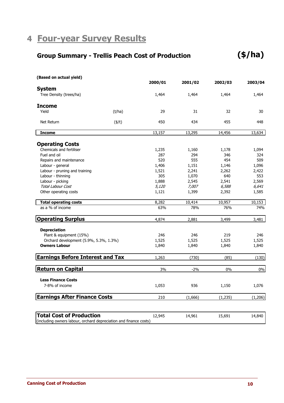### **4 Four-year Survey Results**

### **Group Summary - Trellis Peach Cost of Production**

| (Based on actual yield)                 |              |         |         |          |         |
|-----------------------------------------|--------------|---------|---------|----------|---------|
|                                         |              | 2000/01 | 2001/02 | 2002/03  | 2003/04 |
| <b>System</b>                           |              |         |         |          |         |
| Tree Density (trees/ha)                 |              | 1,464   | 1,464   | 1,464    | 1,464   |
| <b>Income</b>                           |              |         |         |          |         |
| Yield                                   | (t/ha)       | 29      | 31      | 32       | 30      |
| Net Return                              | $($ \$/t $)$ | 450     | 434     | 455      | 448     |
| <b>Income</b>                           |              | 13,157  | 13,295  | 14,456   | 13,634  |
| <b>Operating Costs</b>                  |              |         |         |          |         |
| Chemicals and fertiliser                |              | 1,235   | 1,160   | 1,178    | 1,094   |
| Fuel and oil                            |              | 287     | 294     | 346      | 324     |
| Repairs and maintenance                 |              | 520     | 555     | 454      | 509     |
| Labour - general                        |              | 1,406   | 1,151   | 1,146    | 1,096   |
| Labour - pruning and training           |              | 1,521   | 2,241   | 2,262    | 2,422   |
| Labour - thinning                       |              | 305     | 1,070   | 640      | 553     |
| Labour - picking                        |              | 1,888   | 2,545   | 2,541    | 2,569   |
| <b>Total Labour Cost</b>                |              | 5,120   | 7,007   | 6,588    | 6,641   |
| Other operating costs                   |              | 1,121   | 1,399   | 2,392    | 1,585   |
| <b>Total operating costs</b>            |              | 8,282   | 10,414  | 10,957   | 10,153  |
| as a % of income                        |              | 63%     | 78%     | 76%      | 74%     |
| <b>Operating Surplus</b>                |              | 4,874   | 2,881   | 3,499    | 3,481   |
| <b>Depreciation</b>                     |              |         |         |          |         |
| Plant & equipment (15%)                 |              | 246     | 246     | 219      | 246     |
| Orchard development (5.9%, 5.3%, 1.3%)  |              | 1,525   | 1,525   | 1,525    | 1,525   |
| <b>Owners Labour</b>                    |              | 1,840   | 1,840   | 1,840    | 1,840   |
| <b>Earnings Before Interest and Tax</b> |              | 1,263   | (730)   | (85)     | (130)   |
| <b>Return on Capital</b>                |              | 3%      | $-2%$   | 0%       | 0%      |
|                                         |              |         |         |          |         |
| <b>Less Finance Costs</b>               |              |         |         |          |         |
| 7-8% of income                          |              | 1,053   | 936     | 1,150    | 1,076   |
| <b>Earnings After Finance Costs</b>     |              | 210     | (1,666) | (1, 235) | (1,206) |
|                                         |              |         |         |          |         |
| <b>Total Cost of Production</b>         |              | 12,945  | 14,961  | 15,691   | 14,840  |

(including owners labour, orchard depreciation and finance costs)

**(\$/ha)**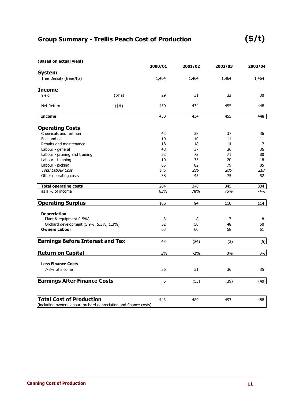### **Group Summary - Trellis Peach Cost of Production**

| (Based on actual yield)                                           |              |         |         |         |         |
|-------------------------------------------------------------------|--------------|---------|---------|---------|---------|
|                                                                   |              | 2000/01 | 2001/02 | 2002/03 | 2003/04 |
| <b>System</b>                                                     |              |         |         |         |         |
| Tree Density (trees/ha)                                           |              | 1,464   | 1,464   | 1,464   | 1,464   |
| <b>Income</b>                                                     |              |         |         |         |         |
| Yield                                                             | (t/ha)       | 29      | 31      | 32      | 30      |
| Net Return                                                        | $($ \$/t $)$ | 450     | 434     | 455     | 448     |
| <b>Income</b>                                                     |              | 450     | 434     | 455     | 448     |
| <b>Operating Costs</b>                                            |              |         |         |         |         |
| Chemicals and fertiliser                                          |              | 42      | 38      | 37      | 36      |
| Fuel and oil                                                      |              | 10      | 10      | 11      | 11      |
| Repairs and maintenance                                           |              | 18      | 18      | 14      | 17      |
| Labour - general                                                  |              | 48      | 37      | 36      | 36      |
| Labour - pruning and training                                     |              | 52      | 72      | 71      | 80      |
| Labour - thinning                                                 |              | 10      | 35      | 20      | 18      |
| Labour - picking                                                  |              | 65      | 82      | 79      | 85      |
| Total Labour Cost                                                 |              | 175     | 226     | 206     | 218     |
| Other operating costs                                             |              | 38      | 45      | 75      | 52      |
| <b>Total operating costs</b>                                      |              | 284     | 340     | 345     | 334     |
| as a % of income                                                  |              | 63%     | 78%     | 76%     | 74%     |
| <b>Operating Surplus</b>                                          |              | 166     | 94      | 110     | 114     |
| <b>Depreciation</b>                                               |              |         |         |         |         |
| Plant & equipment (15%)                                           |              | 8       | 8       | 7       | 8       |
| Orchard development (5.9%, 5.3%, 1.3%)                            |              | 52      | 50      | 48      | 50      |
| <b>Owners Labour</b>                                              |              | 63      | 60      | 58      | 61      |
| <b>Earnings Before Interest and Tax</b>                           |              | 43      | (24)    | (3)     | (5)     |
|                                                                   |              |         |         |         |         |
| <b>Return on Capital</b>                                          |              | 3%      | $-2%$   | 0%      | $0\%$   |
| <b>Less Finance Costs</b>                                         |              |         |         |         |         |
| 7-8% of income                                                    |              | 36      | 31      | 36      | 35      |
| <b>Earnings After Finance Costs</b>                               |              | 6       | (55)    | (39)    | (40)    |
|                                                                   |              |         |         |         |         |
| <b>Total Cost of Production</b>                                   |              | 443     | 489     | 493     | 488     |
| (including owners labour, orchard depreciation and finance costs) |              |         |         |         |         |

(including owners labour, orchard depreciation and finance costs)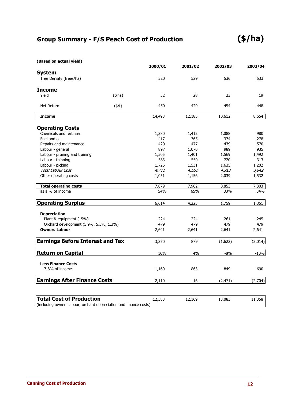### **Group Summary - F/S Peach Cost of Production**

| (Based on actual yield)                                                                                                                                                                                                                                                                                                                                                                                                                                                                                                                                                                                                                                                                                                                                                                                                                                                                                                                                                             |         |         |        |          |         |
|-------------------------------------------------------------------------------------------------------------------------------------------------------------------------------------------------------------------------------------------------------------------------------------------------------------------------------------------------------------------------------------------------------------------------------------------------------------------------------------------------------------------------------------------------------------------------------------------------------------------------------------------------------------------------------------------------------------------------------------------------------------------------------------------------------------------------------------------------------------------------------------------------------------------------------------------------------------------------------------|---------|---------|--------|----------|---------|
| 2000/01<br>2001/02<br><b>System</b><br>Tree Density (trees/ha)<br>520<br>529<br>Yield<br>(t/ha)<br>32<br>28<br>$($ \$/t $)$<br>450<br>429<br>Net Return<br>14,493<br>12,185<br><b>Income</b><br>Chemicals and fertiliser<br>1,280<br>1,412<br>Fuel and oil<br>417<br>365<br>420<br>477<br>Repairs and maintenance<br>897<br>Labour - general<br>1,070<br>1,505<br>Labour - pruning and training<br>1,401<br>Labour - thinning<br>583<br>550<br>1,726<br>1,531<br>Labour - picking<br><b>Total Labour Cost</b><br>4,711<br>4,552<br>Other operating costs<br>1,051<br>1,156<br><b>Total operating costs</b><br>7,879<br>7,962<br>as a % of income<br>54%<br>65%<br>4,223<br>6,614<br><b>Depreciation</b><br>Plant & equipment (15%)<br>224<br>224<br>479<br>479<br>Orchard development (5.9%, 5.3%, 1.3%)<br><b>Owners Labour</b><br>2,641<br>2,641<br><b>Earnings Before Interest and Tax</b><br>3,270<br>879<br><b>Return on Capital</b><br>16%<br>4%<br><b>Less Finance Costs</b> | 2002/03 | 2003/04 |        |          |         |
|                                                                                                                                                                                                                                                                                                                                                                                                                                                                                                                                                                                                                                                                                                                                                                                                                                                                                                                                                                                     |         |         |        |          |         |
|                                                                                                                                                                                                                                                                                                                                                                                                                                                                                                                                                                                                                                                                                                                                                                                                                                                                                                                                                                                     |         |         |        | 536      | 533     |
| <b>Income</b>                                                                                                                                                                                                                                                                                                                                                                                                                                                                                                                                                                                                                                                                                                                                                                                                                                                                                                                                                                       |         |         |        |          |         |
|                                                                                                                                                                                                                                                                                                                                                                                                                                                                                                                                                                                                                                                                                                                                                                                                                                                                                                                                                                                     |         |         |        | 23       | 19      |
|                                                                                                                                                                                                                                                                                                                                                                                                                                                                                                                                                                                                                                                                                                                                                                                                                                                                                                                                                                                     |         |         |        | 454      | 448     |
|                                                                                                                                                                                                                                                                                                                                                                                                                                                                                                                                                                                                                                                                                                                                                                                                                                                                                                                                                                                     |         |         |        | 10,612   | 8,654   |
| <b>Operating Costs</b>                                                                                                                                                                                                                                                                                                                                                                                                                                                                                                                                                                                                                                                                                                                                                                                                                                                                                                                                                              |         |         |        |          |         |
|                                                                                                                                                                                                                                                                                                                                                                                                                                                                                                                                                                                                                                                                                                                                                                                                                                                                                                                                                                                     |         |         |        | 1,088    | 980     |
|                                                                                                                                                                                                                                                                                                                                                                                                                                                                                                                                                                                                                                                                                                                                                                                                                                                                                                                                                                                     |         |         |        | 374      | 278     |
|                                                                                                                                                                                                                                                                                                                                                                                                                                                                                                                                                                                                                                                                                                                                                                                                                                                                                                                                                                                     |         |         |        | 439      | 570     |
|                                                                                                                                                                                                                                                                                                                                                                                                                                                                                                                                                                                                                                                                                                                                                                                                                                                                                                                                                                                     |         |         |        | 989      | 935     |
|                                                                                                                                                                                                                                                                                                                                                                                                                                                                                                                                                                                                                                                                                                                                                                                                                                                                                                                                                                                     |         |         |        | 1,569    | 1,492   |
|                                                                                                                                                                                                                                                                                                                                                                                                                                                                                                                                                                                                                                                                                                                                                                                                                                                                                                                                                                                     |         |         |        | 720      | 313     |
|                                                                                                                                                                                                                                                                                                                                                                                                                                                                                                                                                                                                                                                                                                                                                                                                                                                                                                                                                                                     |         |         |        | 1,635    | 1,202   |
|                                                                                                                                                                                                                                                                                                                                                                                                                                                                                                                                                                                                                                                                                                                                                                                                                                                                                                                                                                                     |         |         |        | 4,913    | 3,942   |
|                                                                                                                                                                                                                                                                                                                                                                                                                                                                                                                                                                                                                                                                                                                                                                                                                                                                                                                                                                                     |         |         |        | 2,039    | 1,532   |
|                                                                                                                                                                                                                                                                                                                                                                                                                                                                                                                                                                                                                                                                                                                                                                                                                                                                                                                                                                                     |         |         |        | 8,853    | 7,303   |
|                                                                                                                                                                                                                                                                                                                                                                                                                                                                                                                                                                                                                                                                                                                                                                                                                                                                                                                                                                                     |         |         |        | 83%      | 84%     |
| <b>Operating Surplus</b>                                                                                                                                                                                                                                                                                                                                                                                                                                                                                                                                                                                                                                                                                                                                                                                                                                                                                                                                                            |         |         |        | 1,759    | 1,351   |
|                                                                                                                                                                                                                                                                                                                                                                                                                                                                                                                                                                                                                                                                                                                                                                                                                                                                                                                                                                                     |         |         |        |          |         |
|                                                                                                                                                                                                                                                                                                                                                                                                                                                                                                                                                                                                                                                                                                                                                                                                                                                                                                                                                                                     |         |         |        | 261      | 245     |
|                                                                                                                                                                                                                                                                                                                                                                                                                                                                                                                                                                                                                                                                                                                                                                                                                                                                                                                                                                                     |         |         |        | 479      | 479     |
|                                                                                                                                                                                                                                                                                                                                                                                                                                                                                                                                                                                                                                                                                                                                                                                                                                                                                                                                                                                     |         |         |        | 2,641    | 2,641   |
|                                                                                                                                                                                                                                                                                                                                                                                                                                                                                                                                                                                                                                                                                                                                                                                                                                                                                                                                                                                     |         |         |        | (1,622)  | (2,014) |
|                                                                                                                                                                                                                                                                                                                                                                                                                                                                                                                                                                                                                                                                                                                                                                                                                                                                                                                                                                                     |         |         |        | $-8%$    | $-10%$  |
|                                                                                                                                                                                                                                                                                                                                                                                                                                                                                                                                                                                                                                                                                                                                                                                                                                                                                                                                                                                     |         |         |        |          |         |
|                                                                                                                                                                                                                                                                                                                                                                                                                                                                                                                                                                                                                                                                                                                                                                                                                                                                                                                                                                                     |         |         |        |          |         |
| 7-8% of income                                                                                                                                                                                                                                                                                                                                                                                                                                                                                                                                                                                                                                                                                                                                                                                                                                                                                                                                                                      |         | 1,160   | 863    | 849      | 690     |
| <b>Earnings After Finance Costs</b>                                                                                                                                                                                                                                                                                                                                                                                                                                                                                                                                                                                                                                                                                                                                                                                                                                                                                                                                                 |         | 2,110   | 16     | (2, 471) | (2,704) |
|                                                                                                                                                                                                                                                                                                                                                                                                                                                                                                                                                                                                                                                                                                                                                                                                                                                                                                                                                                                     |         |         |        |          |         |
| <b>Total Cost of Production</b>                                                                                                                                                                                                                                                                                                                                                                                                                                                                                                                                                                                                                                                                                                                                                                                                                                                                                                                                                     |         | 12,383  | 12,169 | 13,083   | 11,358  |

(including owners labour, orchard depreciation and finance costs)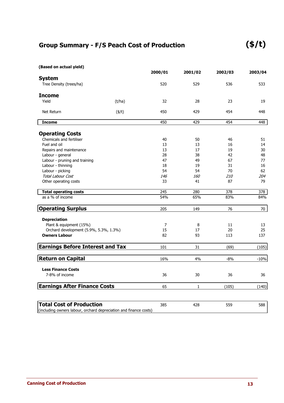### **Group Summary - F/S Peach Cost of Production**

| (Based on actual yield)                 |              |         |              |         |         |
|-----------------------------------------|--------------|---------|--------------|---------|---------|
|                                         |              | 2000/01 | 2001/02      | 2002/03 | 2003/04 |
| <b>System</b>                           |              |         |              |         |         |
| Tree Density (trees/ha)                 |              | 520     | 529          | 536     | 533     |
| <b>Income</b>                           |              |         |              |         |         |
| Yield                                   | (t/ha)       | 32      | 28           | 23      | 19      |
| Net Return                              | $($ \$/t $)$ | 450     | 429          | 454     | 448     |
| <b>Income</b>                           |              | 450     | 429          | 454     | 448     |
| <b>Operating Costs</b>                  |              |         |              |         |         |
| Chemicals and fertiliser                |              | 40      | 50           | 46      | 51      |
| Fuel and oil                            |              | 13      | 13           | 16      | 14      |
| Repairs and maintenance                 |              | 13      | 17           | 19      | 30      |
| Labour - general                        |              | 28      | 38           | 42      | 48      |
| Labour - pruning and training           |              | 47      | 49           | 67      | 77      |
| Labour - thinning                       |              | 18      | 19           | 31      | 16      |
| Labour - picking                        |              | 54      | 54           | 70      | 62      |
| <b>Total Labour Cost</b>                |              | 146     | <i>160</i>   | 210     | 204     |
| Other operating costs                   |              | 33      | 41           | 87      | 79      |
| <b>Total operating costs</b>            |              | 245     | 280          | 378     | 378     |
| as a % of income                        |              | 54%     | 65%          | 83%     | 84%     |
| <b>Operating Surplus</b>                |              | 205     | 149          | 76      | 70      |
| <b>Depreciation</b>                     |              |         |              |         |         |
| Plant & equipment (15%)                 |              | 7       | 8            | 11      | 13      |
| Orchard development (5.9%, 5.3%, 1.3%)  |              | 15      | 17           | 20      | 25      |
| <b>Owners Labour</b>                    |              | 82      | 93           | 113     | 137     |
| <b>Earnings Before Interest and Tax</b> |              | 101     | 31           | (69)    | (105)   |
| <b>Return on Capital</b>                |              | 16%     | 4%           | -8%     | $-10%$  |
|                                         |              |         |              |         |         |
| <b>Less Finance Costs</b>               |              |         |              |         |         |
| 7-8% of income                          |              | 36      | 30           | 36      | 36      |
| <b>Earnings After Finance Costs</b>     |              | 65      | $\mathbf{1}$ | (105)   | (140)   |
|                                         |              |         |              |         |         |

 428 385 559 588 **Total Cost of Production** (including owners labour, orchard depreciation and finance costs)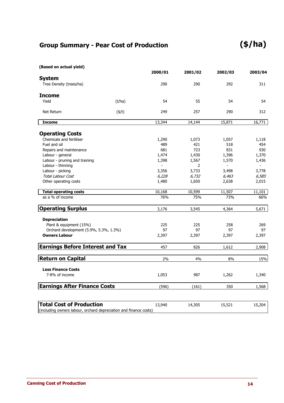### **Group Summary - Pear Cost of Production**

**(\$/ha)**

| (Based on actual yield)                                           |              |          |         |          |          |
|-------------------------------------------------------------------|--------------|----------|---------|----------|----------|
|                                                                   |              | 2000/01  | 2001/02 | 2002/03  | 2003/04  |
| <b>System</b>                                                     |              | 290      |         |          | 311      |
| Tree Density (trees/ha)                                           |              |          | 290     | 292      |          |
| <b>Income</b>                                                     |              |          |         |          |          |
| Yield                                                             | (t/ha)       | 54       | 55      | 54       | 54       |
| Net Return                                                        | $($ \$/t $)$ | 249      | 257     | 290      | 312      |
| <b>Income</b>                                                     |              | 13,344   | 14,144  | 15,871   | 16,771   |
|                                                                   |              |          |         |          |          |
| <b>Operating Costs</b>                                            |              |          |         |          |          |
| Chemicals and fertiliser                                          |              | 1,290    | 1,073   | 1,057    | 1,118    |
| Fuel and oil                                                      |              | 489      | 421     | 518      | 454      |
| Repairs and maintenance                                           |              | 681      | 723     | 831      | 930      |
| Labour - general                                                  |              | 1,474    | 1,430   | 1,396    | 1,370    |
| Labour - pruning and training                                     |              | 1,398    | 1,567   | 1,570    | 1,436    |
| Labour - thinning                                                 |              | $\omega$ | 2       | $\equiv$ | $\equiv$ |
| Labour - picking                                                  |              | 3,356    | 3,733   | 3,498    | 3,778    |
| <b>Total Labour Cost</b>                                          |              | 6,228    | 6,732   | 6,463    | 6,585    |
| Other operating costs                                             |              | 1,480    | 1,650   | 2,638    | 2,015    |
| <b>Total operating costs</b>                                      |              | 10,168   | 10,599  | 11,507   | 11,101   |
| as a % of income                                                  |              | 76%      | 75%     | 73%      | 66%      |
| <b>Operating Surplus</b>                                          |              | 3,176    | 3,545   | 4,364    | 5,671    |
| <b>Depreciation</b>                                               |              |          |         |          |          |
| Plant & equipment (15%)                                           |              | 225      | 225     | 258      | 269      |
| Orchard development (5.9%, 5.3%, 1.3%)                            |              | 97       | 97      | 97       | 97       |
| <b>Owners Labour</b>                                              |              | 2,397    | 2,397   | 2,397    | 2,397    |
|                                                                   |              |          |         |          |          |
| <b>Earnings Before Interest and Tax</b>                           |              | 457      | 826     | 1,612    | 2,908    |
| <b>Return on Capital</b>                                          |              | 2%       | 4%      | 8%       | 15%      |
| <b>Less Finance Costs</b>                                         |              |          |         |          |          |
| 7-8% of income                                                    |              | 1,053    | 987     | 1,262    | 1,340    |
| <b>Earnings After Finance Costs</b>                               |              | (596)    | (161)   | 350      | 1,568    |
|                                                                   |              |          |         |          |          |
| <b>Total Cost of Production</b>                                   |              | 13,940   | 14,305  | 15,521   | 15,204   |
| (including owners labour, orchard depreciation and finance costs) |              |          |         |          |          |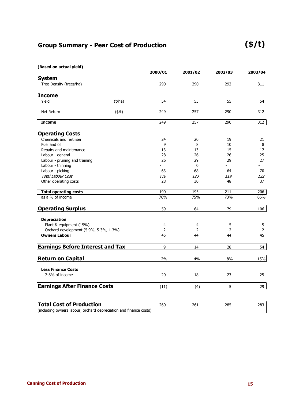### **Group Summary - Pear Cost of Production**

**(\$/t)**

| (Based on actual yield)                                                                              |              |                |         |                |                |
|------------------------------------------------------------------------------------------------------|--------------|----------------|---------|----------------|----------------|
|                                                                                                      |              | 2000/01        | 2001/02 | 2002/03        | 2003/04        |
| <b>System</b><br>Tree Density (trees/ha)                                                             |              | 290            | 290     | 292            | 311            |
| <b>Income</b>                                                                                        |              |                |         |                |                |
| Yield                                                                                                | (t/ha)       | 54             | 55      | 55             | 54             |
| Net Return                                                                                           | $($ \$/t $)$ | 249            | 257     | 290            | 312            |
| <b>Income</b>                                                                                        |              | 249            | 257     | 290            | 312            |
| <b>Operating Costs</b>                                                                               |              |                |         |                |                |
| Chemicals and fertiliser                                                                             |              | 24             | 20      | 19             | 21             |
| Fuel and oil                                                                                         |              | 9              | 8       | 10             | 8              |
| Repairs and maintenance                                                                              |              | 13             | 13      | 15             | 17             |
| Labour - general                                                                                     |              | 28             | 26      | 26             | 25             |
| Labour - pruning and training                                                                        |              | 26             | 29      | 29             | 27             |
| Labour - thinning                                                                                    |              |                | 0       |                |                |
| Labour - picking                                                                                     |              | 63             | 68      | 64             | 70             |
| <b>Total Labour Cost</b>                                                                             |              | 116            | 123     | 119            | 122            |
| Other operating costs                                                                                |              | 28             | 30      | 48             | 37             |
| <b>Total operating costs</b>                                                                         |              | 190            | 193     | 211            | 206            |
| as a % of income                                                                                     |              | 76%            | 75%     | 73%            | 66%            |
| <b>Operating Surplus</b>                                                                             |              | 59             | 64      | 79             | 106            |
| <b>Depreciation</b>                                                                                  |              |                |         |                |                |
| Plant & equipment (15%)                                                                              |              | 4              | 4       | 5              | 5              |
| Orchard development (5.9%, 5.3%, 1.3%)                                                               |              | $\overline{2}$ | 2       | $\overline{2}$ | $\overline{2}$ |
| <b>Owners Labour</b>                                                                                 |              | 45             | 44      | 44             | 45             |
| <b>Earnings Before Interest and Tax</b>                                                              |              | 9              | 14      | 28             | 54             |
| <b>Return on Capital</b>                                                                             |              | 2%             | 4%      | 8%             | 15%            |
| <b>Less Finance Costs</b>                                                                            |              |                |         |                |                |
| 7-8% of income                                                                                       |              | 20             | 18      | 23             | 25             |
| <b>Earnings After Finance Costs</b>                                                                  |              | (11)           | (4)     | 5              | 29             |
|                                                                                                      |              |                |         |                |                |
| <b>Total Cost of Production</b><br>(including owners labour, orchard depreciation and finance costs) |              | 260            | 261     | 285            | 283            |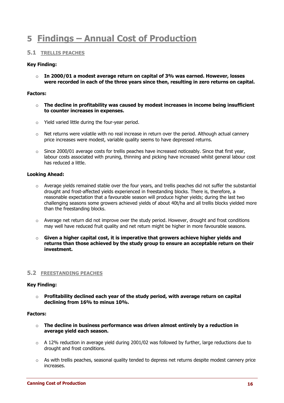### **5 Findings – Annual Cost of Production**

#### **5.1 TRELLIS PEACHES**

#### **Key Finding:**

o **In 2000/01 a modest average return on capital of 3% was earned. However, losses were recorded in each of the three years since then, resulting in zero returns on capital.** 

#### **Factors:**

- o **The decline in profitability was caused by modest increases in income being insufficient to counter increases in expenses.**
- o Yield varied little during the four-year period.
- $\circ$  Net returns were volatile with no real increase in return over the period. Although actual cannery price increases were modest, variable quality seems to have depressed returns.
- $\circ$  Since 2000/01 average costs for trellis peaches have increased noticeably. Since that first year, labour costs associated with pruning, thinning and picking have increased whilst general labour cost has reduced a little.

#### **Looking Ahead:**

- o Average yields remained stable over the four years, and trellis peaches did not suffer the substantial drought and frost-affected yields experienced in freestanding blocks. There is, therefore, a reasonable expectation that a favourable season will produce higher yields; during the last two challenging seasons some growers achieved yields of about 40t/ha and all trellis blocks yielded more than the freestanding blocks.
- $\circ$  Average net return did not improve over the study period. However, drought and frost conditions may well have reduced fruit quality and net return might be higher in more favourable seasons.
- $\circ$  **Given a higher capital cost, it is imperative that growers achieve higher yields and returns than those achieved by the study group to ensure an acceptable return on their investment.**

#### **5.2 FREESTANDING PEACHES**

#### **Key Finding:**

o **Profitability declined each year of the study period, with average return on capital declining from 16% to minus 10%.** 

#### **Factors:**

- o **The decline in business performance was driven almost entirely by a reduction in average yield each season.**
- $\circ$  A 12% reduction in average yield during 2001/02 was followed by further, large reductions due to drought and frost conditions.
- $\circ$  As with trellis peaches, seasonal quality tended to depress net returns despite modest cannery price increases.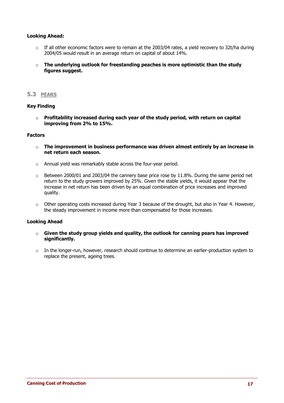#### **Looking Ahead:**

- o If all other economic factors were to remain at the 2003/04 rates, a yield recovery to 32t/ha during 2004/05 would result in an average return on capital of about 14%.
- o **The underlying outlook for freestanding peaches is more optimistic than the study figures suggest.**

#### **5.3 PEARS**

#### **Key Finding**

o **Profitability increased during each year of the study period, with return on capital improving from 2% to 15%.** 

#### **Factors**

- o **The improvement in business performance was driven almost entirely by an increase in net return each season.**
- o Annual yield was remarkably stable across the four-year period.
- $\circ$  Between 2000/01 and 2003/04 the cannery base price rose by 11.8%. During the same period net return to the study growers improved by 25%. Given the stable yields, it would appear that the increase in net return has been driven by an equal combination of price increases and improved quality.
- $\circ$  Other operating costs increased during Year 3 because of the drought, but also in Year 4. However, the steady improvement in income more than compensated for those increases.

#### **Looking Ahead**

- o **Given the study group yields and quality, the outlook for canning pears has improved significantly.**
- $\circ$  In the longer-run, however, research should continue to determine an earlier-production system to replace the present, ageing trees.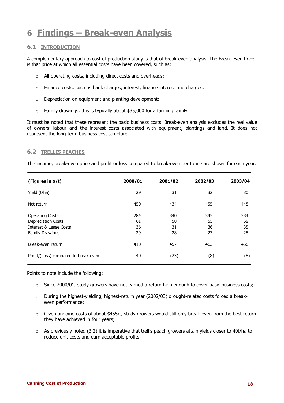### **6 Findings – Break-even Analysis**

#### **6.1 INTRODUCTION**

A complementary approach to cost of production study is that of break-even analysis. The Break-even Price is that price at which all essential costs have been covered, such as:

- o All operating costs, including direct costs and overheads;
- o Finance costs, such as bank charges, interest, finance interest and charges;
- $\circ$  Depreciation on equipment and planting development;
- $\circ$  Family drawings; this is typically about \$35,000 for a farming family.

It must be noted that these represent the basic business costs. Break-even analysis excludes the real value of owners' labour and the interest costs associated with equipment, plantings and land. It does not represent the long-term business cost structure.

#### **6.2 TRELLIS PEACHES**

The income, break-even price and profit or loss compared to break-even per tonne are shown for each year:

| (Figures in \$/t)                    | 2000/01 | 2001/02 | 2002/03 | 2003/04 |
|--------------------------------------|---------|---------|---------|---------|
| Yield (t/ha)                         | 29      | 31      | 32      | 30      |
| Net return                           | 450     | 434     | 455     | 448     |
| <b>Operating Costs</b>               | 284     | 340     | 345     | 334     |
| <b>Depreciation Costs</b>            | 61      | 58      | 55      | 58      |
| Interest & Lease Costs               | 36      | 31      | 36      | 35      |
| <b>Family Drawings</b>               | 29      | 28      | 27      | 28      |
| Break-even return                    | 410     | 457     | 463     | 456     |
| Profit/(Loss) compared to break-even | 40      | (23)    | (8)     | (8)     |

Points to note include the following:

- o Since 2000/01, study growers have not earned a return high enough to cover basic business costs;
- $\circ$  During the highest-yielding, highest-return year (2002/03) drought-related costs forced a breakeven performance;
- o Given ongoing costs of about \$455/t, study growers would still only break-even from the best return they have achieved in four years;
- $\circ$  As previously noted (3.2) it is imperative that trellis peach growers attain yields closer to 40t/ha to reduce unit costs and earn acceptable profits.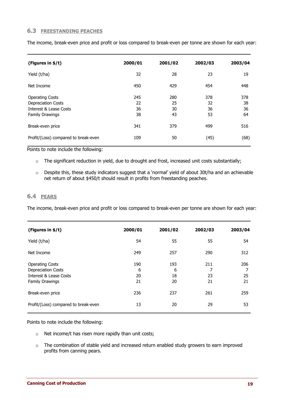#### **6.3 FREESTANDING PEACHES**

| (Figures in \$/t)                    | 2000/01 | 2001/02 | 2002/03 | 2003/04 |
|--------------------------------------|---------|---------|---------|---------|
| Yield (t/ha)                         | 32      | 28      | 23      | 19      |
| Net Income                           | 450     | 429     | 454     | 448     |
| <b>Operating Costs</b>               | 245     | 280     | 378     | 378     |
| <b>Depreciation Costs</b>            | 22      | 25      | 32      | 38      |
| Interest & Lease Costs               | 36      | 30      | 36      | 36      |
| <b>Family Drawings</b>               | 38      | 43      | 53      | 64      |
| Break-even price                     | 341     | 379     | 499     | 516     |
| Profit/(Loss) compared to break-even | 109     | 50      | (45)    | (68)    |

The income, break-even price and profit or loss compared to break-even per tonne are shown for each year:

#### Points to note include the following:

- o The significant reduction in yield, due to drought and frost, increased unit costs substantially;
- o Despite this, these study indicators suggest that a 'normal' yield of about 30t/ha and an achievable net return of about \$450/t should result in profits from freestanding peaches.

#### **6.4 PEARS**

The income, break-even price and profit or loss compared to break-even per tonne are shown for each year:

| (Figures in \$/t)                                                                                           | 2000/01              | 2001/02              | 2002/03              | 2003/04         |
|-------------------------------------------------------------------------------------------------------------|----------------------|----------------------|----------------------|-----------------|
| Yield (t/ha)                                                                                                | 54                   | 55                   | 55                   | 54              |
| Net Income                                                                                                  | 249                  | 257                  | 290                  | 312             |
| <b>Operating Costs</b><br>Depreciation Costs<br><b>Interest &amp; Lease Costs</b><br><b>Family Drawings</b> | 190<br>6<br>20<br>21 | 193<br>6<br>18<br>20 | 211<br>7<br>23<br>21 | 206<br>25<br>21 |
| Break-even price                                                                                            | 236                  | 237                  | 261                  | 259             |
| Profit/(Loss) compared to break-even                                                                        | 13                   | 20                   | 29                   | 53              |

Points to note include the following:

- o Net income/t has risen more rapidly than unit costs;
- o The combination of stable yield and increased return enabled study growers to earn improved profits from canning pears.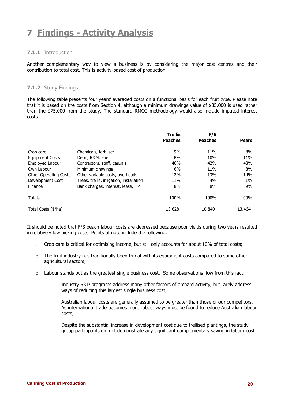## **7 Findings - Activity Analysis**

#### **7.1.1** Introduction

Another complementary way to view a business is by considering the major cost centres and their contribution to total cost. This is activity-based cost of production.

#### **7.1.2** Study Findings

The following table presents four years' averaged costs on a functional basis for each fruit type. Please note that it is based on the costs from Section 4, although a minimum drawings value of \$35,000 is used rather than the \$75,000 from the study. The standard RMCG methodology would also include imputed interest costs.

|                              |                                          | <b>Trellis</b> | F/S            |              |
|------------------------------|------------------------------------------|----------------|----------------|--------------|
|                              |                                          | <b>Peaches</b> | <b>Peaches</b> | <b>Pears</b> |
| Crop care                    | Chemicals, fertiliser                    | 9%             | 11%            | 8%           |
| <b>Equipment Costs</b>       | Depn, R&M, Fuel                          | 8%             | 10%            | 11%          |
| Employed Labour              | Contractors, staff, casuals              | 46%            | 42%            | 48%          |
| Own Labour                   | Minimum drawings                         | 6%             | 11%            | 8%           |
| <b>Other Operating Costs</b> | Other variable costs, overheads          | 12%            | 13%            | 14%          |
| Development Cost             | Trees, trellis, irrigation, installation | 11%            | 4%             | $1\%$        |
| Finance                      | Bank charges, interest, lease, HP        | 8%             | 8%             | 9%           |
| Totals                       |                                          | 100%           | 100%           | 100%         |
| Total Costs (\$/ha)          |                                          | 13,628         | 10,840         | 13,464       |

It should be noted that F/S peach labour costs are depressed because poor yields during two years resulted in relatively low picking costs. Points of note include the following:

- $\circ$  Crop care is critical for optimising income, but still only accounts for about 10% of total costs;
- $\circ$  The fruit industry has traditionally been frugal with its equipment costs compared to some other agricultural sectors;
- $\circ$  Labour stands out as the greatest single business cost. Some observations flow from this fact:

Industry R&D programs address many other factors of orchard activity, but rarely address ways of reducing this largest single business cost;

Australian labour costs are generally assumed to be greater than those of our competitors. As international trade becomes more robust ways must be found to reduce Australian labour costs;

Despite the substantial increase in development cost due to trellised plantings, the study group participants did not demonstrate any significant complementary saving in labour cost.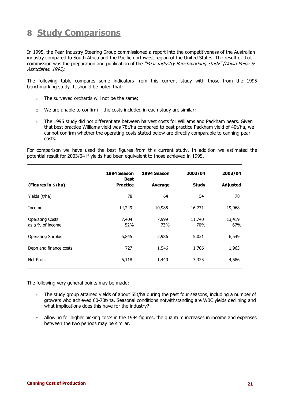### **8 Study Comparisons**

In 1995, the Pear Industry Steering Group commissioned a report into the competitiveness of the Australian industry compared to South Africa and the Pacific northwest region of the United States. The result of that commission was the preparation and publication of the "Pear Industry Benchmarking Study" (David Pullar & Associates, 1995).

The following table compares some indicators from this current study with those from the 1995 benchmarking study. It should be noted that:

- o The surveyed orchards will not be the same;
- o We are unable to confirm if the costs included in each study are similar;
- o The 1995 study did not differentiate between harvest costs for Williams and Packham pears. Given that best practice Williams yield was 78t/ha compared to best practice Packham yield of 40t/ha, we cannot confirm whether the operating costs stated below are directly comparable to canning pear costs.

For comparison we have used the best figures from this current study. In addition we estimated the potential result for 2003/04 if yields had been equivalent to those achieved in 1995.

|                                            | 1994 Season<br><b>Best</b> | 1994 Season  | 2003/04       | 2003/04         |
|--------------------------------------------|----------------------------|--------------|---------------|-----------------|
| (Figures in \$/ha)                         | <b>Practice</b>            | Average      | <b>Study</b>  | <b>Adjusted</b> |
| Yields (t/ha)                              | 78                         | 64           | 54            | 78              |
| Income                                     | 14,249                     | 10,985       | 16,771        | 19,968          |
| <b>Operating Costs</b><br>as a % of income | 7,404<br>52%               | 7,999<br>73% | 11,740<br>70% | 13,419<br>67%   |
| <b>Operating Surplus</b>                   | 6,845                      | 2,986        | 5,031         | 6,549           |
| Depn and finance costs                     | 727                        | 1,546        | 1,706         | 1,963           |
| Net Profit                                 | 6,118                      | 1,440        | 3,325         | 4,586           |

The following very general points may be made:

- $\circ$  The study group attained yields of about 55t/ha during the past four seasons, including a number of growers who achieved 60-70t/ha. Seasonal conditions notwithstanding are WBC yields declining and what implications does this have for the industry?
- $\circ$  Allowing for higher picking costs in the 1994 figures, the quantum increases in income and expenses between the two periods may be similar.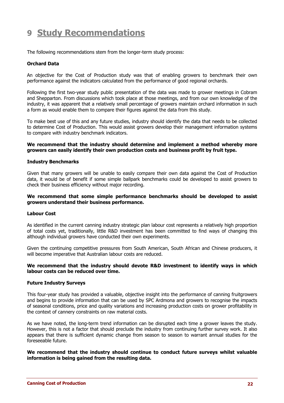### **9 Study Recommendations**

The following recommendations stem from the longer-term study process:

#### **Orchard Data**

An objective for the Cost of Production study was that of enabling growers to benchmark their own performance against the indicators calculated from the performance of good regional orchards.

Following the first two-year study public presentation of the data was made to grower meetings in Cobram and Shepparton. From discussions which took place at those meetings, and from our own knowledge of the industry, it was apparent that a relatively small percentage of growers maintain orchard information in such a form as would enable them to compare their figures against the data from this study.

To make best use of this and any future studies, industry should identify the data that needs to be collected to determine Cost of Production. This would assist growers develop their management information systems to compare with industry benchmark indicators.

#### **We recommend that the industry should determine and implement a method whereby more growers can easily identify their own production costs and business profit by fruit type.**

#### **Industry Benchmarks**

Given that many growers will be unable to easily compare their own data against the Cost of Production data, it would be of benefit if some simple ballpark benchmarks could be developed to assist growers to check their business efficiency without major recording.

#### **We recommend that some simple performance benchmarks should be developed to assist growers understand their business performance.**

#### **Labour Cost**

As identified in the current canning industry strategic plan labour cost represents a relatively high proportion of total costs yet, traditionally, little R&D investment has been committed to find ways of changing this although individual growers have conducted their own experiments.

Given the continuing competitive pressures from South American, South African and Chinese producers, it will become imperative that Australian labour costs are reduced.

#### **We recommend that the industry should devote R&D investment to identify ways in which labour costs can be reduced over time.**

#### **Future Industry Surveys**

This four-year study has provided a valuable, objective insight into the performance of canning fruitgrowers and begins to provide information that can be used by SPC Ardmona and growers to recognise the impacts of seasonal conditions, price and quality variations and increasing production costs on grower profitability in the context of cannery constraints on raw material costs.

As we have noted, the long-term trend information can be disrupted each time a grower leaves the study. However, this is not a factor that should preclude the industry from continuing further survey work. It also appears that there is sufficient dynamic change from season to season to warrant annual studies for the foreseeable future.

#### **We recommend that the industry should continue to conduct future surveys whilst valuable information is being gained from the resulting data.**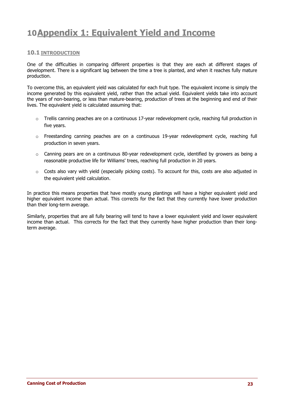### **10Appendix 1: Equivalent Yield and Income**

#### **10.1 INTRODUCTION**

One of the difficulties in comparing different properties is that they are each at different stages of development. There is a significant lag between the time a tree is planted, and when it reaches fully mature production.

To overcome this, an equivalent yield was calculated for each fruit type. The equivalent income is simply the income generated by this equivalent yield, rather than the actual yield. Equivalent yields take into account the years of non-bearing, or less than mature-bearing, production of trees at the beginning and end of their lives. The equivalent yield is calculated assuming that:

- o Trellis canning peaches are on a continuous 17-year redevelopment cycle, reaching full production in five years.
- o Freestanding canning peaches are on a continuous 19-year redevelopment cycle, reaching full production in seven years.
- o Canning pears are on a continuous 80-year redevelopment cycle, identified by growers as being a reasonable productive life for Williams' trees, reaching full production in 20 years.
- $\circ$  Costs also vary with yield (especially picking costs). To account for this, costs are also adjusted in the equivalent yield calculation.

In practice this means properties that have mostly young plantings will have a higher equivalent yield and higher equivalent income than actual. This corrects for the fact that they currently have lower production than their long-term average.

Similarly, properties that are all fully bearing will tend to have a lower equivalent yield and lower equivalent income than actual. This corrects for the fact that they currently have higher production than their longterm average.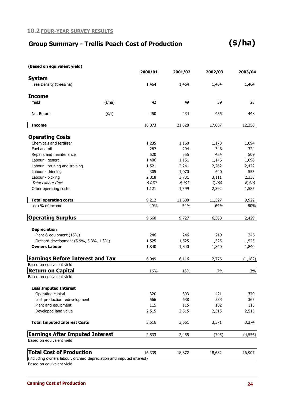### **Group Summary - Trellis Peach Cost of Production**

| (Based on equivalent yield)                                          |              |              |              |              |              |
|----------------------------------------------------------------------|--------------|--------------|--------------|--------------|--------------|
|                                                                      |              | 2000/01      | 2001/02      | 2002/03      | 2003/04      |
| <b>System</b>                                                        |              |              |              |              |              |
| Tree Density (trees/ha)                                              |              | 1,464        | 1,464        | 1,464        | 1,464        |
| <b>Income</b>                                                        |              |              |              |              |              |
| Yield                                                                | (t/ha)       | 42           | 49           | 39           | 28           |
|                                                                      |              |              |              |              |              |
| Net Return                                                           | $($ \$/t $)$ | 450          | 434          | 455          | 448          |
| <b>Income</b>                                                        |              | 18,873       | 21,328       | 17,887       | 12,350       |
|                                                                      |              |              |              |              |              |
| <b>Operating Costs</b><br>Chemicals and fertiliser                   |              |              |              |              |              |
| Fuel and oil                                                         |              | 1,235<br>287 | 1,160<br>294 | 1,178<br>346 | 1,094<br>324 |
| Repairs and maintenance                                              |              | 520          | 555          | 454          | 509          |
| Labour - general                                                     |              | 1,406        | 1,151        | 1,146        | 1,096        |
| Labour - pruning and training                                        |              | 1,521        | 2,241        | 2,262        | 2,422        |
| Labour - thinning                                                    |              | 305          | 1,070        | 640          | 553          |
| Labour - picking                                                     |              | 2,818        | 3,731        | 3,111        | 2,338        |
| <b>Total Labour Cost</b>                                             |              | 6,050        | 8,193        | 7,158        | 6,410        |
|                                                                      |              |              |              |              |              |
| Other operating costs                                                |              | 1,121        | 1,399        | 2,392        | 1,585        |
| <b>Total operating costs</b>                                         |              | 9,212        | 11,600       | 11,527       | 9,922        |
| as a % of income                                                     |              | 49%          | 54%          | 64%          | 80%          |
| <b>Operating Surplus</b>                                             |              | 9,660        | 9,727        | 6,360        | 2,429        |
| <b>Depreciation</b>                                                  |              |              |              |              |              |
| Plant & equipment (15%)                                              |              | 246          | 246          | 219          | 246          |
| Orchard development (5.9%, 5.3%, 1.3%)                               |              | 1,525        | 1,525        | 1,525        | 1,525        |
| <b>Owners Labour</b>                                                 |              | 1,840        | 1,840        | 1,840        | 1,840        |
| <b>Earnings Before Interest and Tax</b>                              |              | 6,049        | 6,116        | 2,776        | (1, 182)     |
| Based on equivalent yield                                            |              |              |              |              |              |
| <b>Return on Capital</b>                                             |              | 16%          | 16%          | 7%           | $-3%$        |
| Based on equivalent yield                                            |              |              |              |              |              |
| <b>Less Imputed Interest</b>                                         |              |              |              |              |              |
| Operating capital                                                    |              | 320          | 393          | 421          | 379          |
| Lost production redevelopment                                        |              | 566          | 638          | 533          | 365          |
| Plant and equipment                                                  |              | 115          | 115          | 102          | 115          |
| Developed land value                                                 |              | 2,515        | 2,515        | 2,515        | 2,515        |
| <b>Total Imputed Interest Costs</b>                                  |              | 3,516        | 3,661        | 3,571        | 3,374        |
| <b>Earnings After Imputed Interest</b>                               |              | 2,533        | 2,455        | (795)        | (4, 556)     |
| Based on equivalent yield                                            |              |              |              |              |              |
| <b>Total Cost of Production</b>                                      |              | 16,339       | 18,872       | 18,682       | 16,907       |
| (including owners labour, orchard depreciation and imputed interest) |              |              |              |              |              |
| Based on equivalent yield                                            |              |              |              |              |              |

**Canning Cost of Production 24**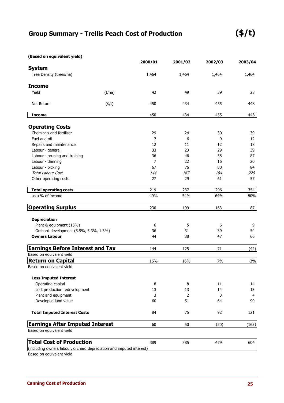### **(\$/t)**

| (Based on equivalent yield) |  |  |  |
|-----------------------------|--|--|--|
|-----------------------------|--|--|--|

|                                                                      |              | 2000/01        | 2001/02        | 2002/03 | 2003/04 |
|----------------------------------------------------------------------|--------------|----------------|----------------|---------|---------|
| <b>System</b>                                                        |              |                |                |         |         |
| Tree Density (trees/ha)                                              |              | 1,464          | 1,464          | 1,464   | 1,464   |
| <b>Income</b>                                                        |              |                |                |         |         |
| Yield                                                                | (t/ha)       | 42             | 49             | 39      | 28      |
| Net Return                                                           | $($ \$/t $)$ | 450            | 434            | 455     | 448     |
| <b>Income</b>                                                        |              | 450            | 434            | 455     | 448     |
| <b>Operating Costs</b>                                               |              |                |                |         |         |
| Chemicals and fertiliser                                             |              | 29             | 24             | 30      | 39      |
| Fuel and oil                                                         |              | $\overline{7}$ | 6              | 9       | 12      |
| Repairs and maintenance                                              |              | 12             | 11             | 12      | 18      |
| Labour - general                                                     |              | 33             | 23             | 29      | 39      |
| Labour - pruning and training                                        |              | 36             | 46             | 58      | 87      |
| Labour - thinning                                                    |              | 7              | 22             | 16      | 20      |
| Labour - picking                                                     |              | 67             | 76             | 80      | 84      |
| <b>Total Labour Cost</b>                                             |              | 144            | 167            | 184     | 229     |
| Other operating costs                                                |              | 27             | 29             | 61      | 57      |
| <b>Total operating costs</b>                                         |              | 219            | 237            | 296     | 354     |
| as a % of income                                                     |              | 49%            | 54%            | 64%     | 80%     |
| <b>Operating Surplus</b>                                             |              | 230            | 199            | 163     | 87      |
| <b>Depreciation</b>                                                  |              |                |                |         |         |
| Plant & equipment (15%)                                              |              | 6              | 5              | 6       | 9       |
| Orchard development (5.9%, 5.3%, 1.3%)                               |              | 36             | 31             | 39      | 54      |
| <b>Owners Labour</b>                                                 |              | 44             | 38             | 47      | 66      |
| <b>Earnings Before Interest and Tax</b>                              |              | 144            | 125            | 71      | (42)    |
| Based on equivalent yield                                            |              |                |                |         |         |
| <b>Return on Capital</b>                                             |              | 16%            | 16%            | 7%      | $-3%$   |
| Based on equivalent yield                                            |              |                |                |         |         |
| <b>Less Imputed Interest</b>                                         |              |                |                |         |         |
| Operating capital                                                    |              | 8              | 8              | 11      | 14      |
| Lost production redevelopment                                        |              | 13             | 13             | 14      | 13      |
| Plant and equipment                                                  |              | 3              | $\overline{2}$ | 3       | 4       |
| Developed land value                                                 |              | 60             | 51             | 64      | 90      |
| <b>Total Imputed Interest Costs</b>                                  |              | 84             | 75             | 92      | 121     |
| <b>Earnings After Imputed Interest</b>                               |              | 60             | 50             | (20)    | (163)   |
| Based on equivalent yield                                            |              |                |                |         |         |
| <b>Total Cost of Production</b>                                      |              | 389            | 385            | 479     | 604     |
| (including owners labour, orchard depreciation and imputed interest) |              |                |                |         |         |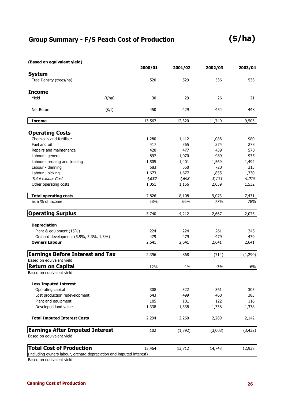#### **(Based on equivalent yield)**

|                                                                      |              | 2000/01 | 2001/02  | 2002/03 | 2003/04  |
|----------------------------------------------------------------------|--------------|---------|----------|---------|----------|
| <b>System</b>                                                        |              |         |          |         |          |
| Tree Density (trees/ha)                                              |              | 520     | 529      | 536     | 533      |
| <b>Income</b>                                                        |              |         |          |         |          |
| Yield                                                                | (t/ha)       | 30      | 29       | 26      | 21       |
| Net Return                                                           | $($ \$/t $)$ | 450     | 429      | 454     | 448      |
| <b>Income</b>                                                        |              | 13,567  | 12,320   | 11,740  | 9,505    |
| <b>Operating Costs</b>                                               |              |         |          |         |          |
| Chemicals and fertiliser                                             |              | 1,280   | 1,412    | 1,088   | 980      |
| Fuel and oil                                                         |              | 417     | 365      | 374     | 278      |
| Repairs and maintenance                                              |              | 420     | 477      | 439     | 570      |
| Labour - general                                                     |              | 897     | 1,070    | 989     | 935      |
| Labour - pruning and training                                        |              | 1,505   | 1,401    | 1,569   | 1,492    |
| Labour - thinning                                                    |              | 583     | 550      | 720     | 313      |
| Labour - picking                                                     |              | 1,673   | 1,677    | 1,855   | 1,330    |
| Total Labour Cost                                                    |              | 4,659   | 4,698    | 5,133   | 4,070    |
| Other operating costs                                                |              | 1,051   | 1,156    | 2,039   | 1,532    |
| <b>Total operating costs</b>                                         |              | 7,826   | 8,108    | 9,073   | 7,431    |
| as a % of income                                                     |              | 58%     | 66%      | 77%     | 78%      |
| <b>Operating Surplus</b>                                             |              | 5,740   | 4,212    | 2,667   | 2,075    |
| <b>Depreciation</b>                                                  |              |         |          |         |          |
| Plant & equipment (15%)                                              |              | 224     | 224      | 261     | 245      |
| Orchard development (5.9%, 5.3%, 1.3%)                               |              | 479     | 479      | 479     | 479      |
| <b>Owners Labour</b>                                                 |              | 2,641   | 2,641    | 2,641   | 2,641    |
| <b>Earnings Before Interest and Tax</b>                              |              | 2,396   | 868      | (714)   | (1, 290) |
| Based on equivalent yield                                            |              |         |          |         |          |
| <b>Return on Capital</b>                                             |              | 12%     | 4%       | $-3%$   | $-6%$    |
| Based on equivalent yield                                            |              |         |          |         |          |
| <b>Less Imputed Interest</b>                                         |              |         |          |         |          |
| Operating capital                                                    |              | 308     | 322      | 361     | 305      |
| Lost production redevelopment                                        |              | 543     | 499      | 468     | 383      |
| Plant and equipment                                                  |              | 105     | 101      | 122     | 116      |
| Developed land value                                                 |              | 1,338   | 1,338    | 1,338   | 1,338    |
| <b>Total Imputed Interest Costs</b>                                  |              | 2,294   | 2,260    | 2,289   | 2,142    |
| <b>Earnings After Imputed Interest</b>                               |              | 102     | (1, 392) | (3,003) | (3, 432) |
| Based on equivalent yield                                            |              |         |          |         |          |
| <b>Total Cost of Production</b>                                      |              | 13,464  | 13,712   | 14,743  | 12,938   |
| (including owners labour, orchard depreciation and imputed interest) |              |         |          |         |          |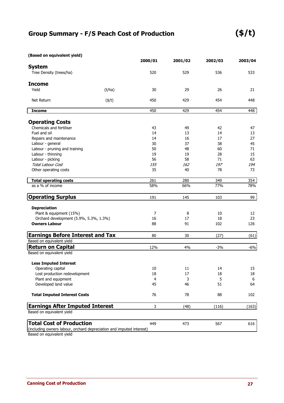| (Based on equivalent yield) |  |  |
|-----------------------------|--|--|
|-----------------------------|--|--|

|                                                                      |              | 2000/01 | 2001/02 | 2002/03 | 2003/04 |
|----------------------------------------------------------------------|--------------|---------|---------|---------|---------|
| <b>System</b>                                                        |              |         |         |         |         |
| Tree Density (trees/ha)                                              |              | 520     | 529     | 536     | 533     |
| <b>Income</b>                                                        |              |         |         |         |         |
| Yield                                                                | (t/ha)       | 30      | 29      | 26      | 21      |
| Net Return                                                           | $($ \$/t $)$ | 450     | 429     | 454     | 448     |
| <b>Income</b>                                                        |              | 450     | 429     | 454     | 448     |
| <b>Operating Costs</b>                                               |              |         |         |         |         |
| Chemicals and fertiliser                                             |              | 43      | 49      | 42      | 47      |
| Fuel and oil                                                         |              | 14      | 13      | 14      | 13      |
| Repairs and maintenance                                              |              | 14      | 16      | 17      | 27      |
| Labour - general                                                     |              | 30      | 37      | 38      | 45      |
| Labour - pruning and training                                        |              | 50      | 48      | 60      | 71      |
| Labour - thinning                                                    |              | 19      | 19      | 28      | 15      |
| Labour - picking                                                     |              | 56      | 58      | 71      | 63      |
| Total Labour Cost                                                    |              | 155     | 162     | 197     | 194     |
| Other operating costs                                                |              | 35      | 40      | 78      | 73      |
| <b>Total operating costs</b>                                         |              | 261     | 280     | 349     | 354     |
| as a % of income                                                     |              | 58%     | 66%     | 77%     | 78%     |
| <b>Operating Surplus</b>                                             |              | 191     | 145     | 103     | 99      |
| <b>Depreciation</b>                                                  |              |         |         |         |         |
| Plant & equipment (15%)                                              |              | 7       | 8       | 10      | 12      |
| Orchard development (5.9%, 5.3%, 1.3%)                               |              | 16      | 17      | 18      | 23      |
| <b>Owners Labour</b>                                                 |              | 88      | 91      | 102     | 126     |
| <b>Earnings Before Interest and Tax</b>                              |              | 80      | 30      | (27)    | (61)    |
| Based on equivalent yield                                            |              |         |         |         |         |
| <b>Return on Capital</b>                                             |              | 12%     | 4%      | $-3%$   | $-6%$   |
| Based on equivalent yield                                            |              |         |         |         |         |
| <b>Less Imputed Interest</b>                                         |              |         |         |         |         |
| Operating capital                                                    |              | 10      | 11      | 14      | 15      |
| Lost production redevelopment                                        |              | 18      | $17\,$  | $18\,$  | 18      |
| Plant and equipment                                                  |              | 4       | 3       | 5       | 6       |
| Developed land value                                                 |              | 45      | 46      | 51      | 64      |
| <b>Total Imputed Interest Costs</b>                                  |              | 76      | 78      | 88      | 102     |
| <b>Earnings After Imputed Interest</b>                               |              | 3       | (48)    | (116)   | (163)   |
| Based on equivalent yield                                            |              |         |         |         |         |
| <b>Total Cost of Production</b>                                      |              | 449     | 473     | 567     | 616     |
| (including owners labour, orchard depreciation and imputed interest) |              |         |         |         |         |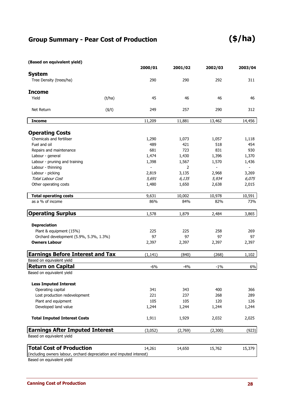### **Group Summary - Pear Cost of Production**

### **(\$/ha)**

#### **(Based on equivalent yield)**

|                                                                      | 2000/01  | 2001/02 | 2002/03 | 2003/04 |
|----------------------------------------------------------------------|----------|---------|---------|---------|
| <b>System</b>                                                        |          |         |         |         |
| Tree Density (trees/ha)                                              | 290      | 290     | 292     | 311     |
| <b>Income</b>                                                        |          |         |         |         |
| Yield<br>(t/ha)                                                      | 45       | 46      | 46      | 46      |
| $($ \$/t $)$<br>Net Return                                           | 249      | 257     | 290     | 312     |
| <b>Income</b>                                                        | 11,209   | 11,881  | 13,462  | 14,456  |
|                                                                      |          |         |         |         |
| <b>Operating Costs</b>                                               |          |         |         |         |
| Chemicals and fertiliser                                             | 1,290    | 1,073   | 1,057   | 1,118   |
| Fuel and oil                                                         | 489      | 421     | 518     | 454     |
| Repairs and maintenance                                              | 681      | 723     | 831     | 930     |
| Labour - general                                                     | 1,474    | 1,430   | 1,396   | 1,370   |
| Labour - pruning and training                                        | 1,398    | 1,567   | 1,570   | 1,436   |
| Labour - thinning                                                    |          | 2       |         |         |
| Labour - picking                                                     | 2,819    | 3,135   | 2,968   | 3,269   |
| <b>Total Labour Cost</b>                                             | 5,691    | 6,135   | 5,934   | 6,075   |
| Other operating costs                                                | 1,480    | 1,650   | 2,638   | 2,015   |
| <b>Total operating costs</b>                                         | 9,631    | 10,002  | 10,978  | 10,591  |
| as a % of income                                                     | 86%      | 84%     | 82%     | 73%     |
| <b>Operating Surplus</b>                                             | 1,578    | 1,879   | 2,484   | 3,865   |
| <b>Depreciation</b>                                                  |          |         |         |         |
| Plant & equipment (15%)                                              | 225      | 225     | 258     | 269     |
| Orchard development (5.9%, 5.3%, 1.3%)                               | 97       | 97      | 97      | 97      |
| <b>Owners Labour</b>                                                 | 2,397    | 2,397   | 2,397   | 2,397   |
| <b>Earnings Before Interest and Tax</b>                              | (1, 141) | (840)   | (268)   | 1,102   |
| Based on equivalent yield                                            |          |         |         |         |
| <b>Return on Capital</b>                                             | $-6%$    | $-4%$   | $-1%$   | 6%      |
| Based on equivalent yield                                            |          |         |         |         |
| <b>Less Imputed Interest</b>                                         |          |         |         |         |
| Operating capital                                                    | 341      | 343     | 400     | 366     |
| Lost production redevelopment                                        | 221      | 237     | 268     | 289     |
| Plant and equipment                                                  | 105      | 105     | 120     | 126     |
| Developed land value                                                 | 1,244    | 1,244   | 1,244   | 1,244   |
| <b>Total Imputed Interest Costs</b>                                  | 1,911    | 1,929   | 2,032   | 2,025   |
| <b>Earnings After Imputed Interest</b>                               | (3,052)  | (2,769) | (2,300) | (923)   |
| Based on equivalent yield                                            |          |         |         |         |
| <b>Total Cost of Production</b>                                      | 14,261   | 14,650  | 15,762  | 15,379  |
| (including owners labour, orchard depreciation and imputed interest) |          |         |         |         |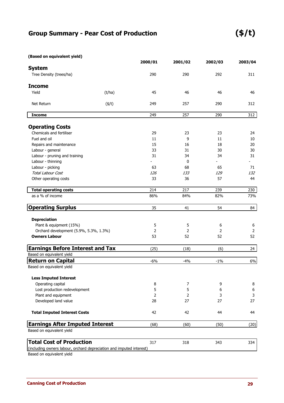### **Group Summary - Pear Cost of Production (\$/t)**

| (Based on equivalent yield) |  |
|-----------------------------|--|
|-----------------------------|--|

|                                                                      |              | 2000/01        | 2001/02 | 2002/03 | 2003/04      |
|----------------------------------------------------------------------|--------------|----------------|---------|---------|--------------|
| <b>System</b>                                                        |              |                |         |         |              |
| Tree Density (trees/ha)                                              |              | 290            | 290     | 292     | 311          |
| <b>Income</b>                                                        |              |                |         |         |              |
| Yield                                                                | (t/ha)       | 45             | 46      | 46      | 46           |
| Net Return                                                           | $($ \$/t $)$ | 249            | 257     | 290     | 312          |
| <b>Income</b>                                                        |              | 249            | 257     | 290     | 312          |
| <b>Operating Costs</b>                                               |              |                |         |         |              |
| Chemicals and fertiliser                                             |              | 29             | 23      | 23      | 24           |
| Fuel and oil                                                         |              | 11             | 9       | 11      | 10           |
| Repairs and maintenance                                              |              | 15             | 16      | 18      | 20           |
| Labour - general                                                     |              | 33             | 31      | 30      | 30           |
| Labour - pruning and training                                        |              | 31             | 34      | 34      | 31           |
| Labour - thinning                                                    |              |                | 0       |         |              |
| Labour - picking                                                     |              | 63             | 68      | 65      | 71           |
| <b>Total Labour Cost</b>                                             |              | 126            | 133     | 129     | 132          |
| Other operating costs                                                |              | 33             | 36      | 57      | 44           |
| <b>Total operating costs</b>                                         |              | 214            | 217     | 239     | 230          |
| as a % of income                                                     |              | 86%            | 84%     | 82%     | 73%          |
| <b>Operating Surplus</b>                                             |              | 35             | 41      | 54      | 84           |
| <b>Depreciation</b>                                                  |              |                |         |         |              |
| Plant & equipment (15%)                                              |              | 5              | 5       | 6       | 6            |
| Orchard development (5.9%, 5.3%, 1.3%)                               |              | 2              | 2       | 2       | 2            |
| <b>Owners Labour</b>                                                 |              | 53             | 52      | 52      | 52           |
| <b>Earnings Before Interest and Tax</b>                              |              | (25)           | (18)    | (6)     | 24           |
| Based on equivalent yield                                            |              |                |         |         |              |
| <b>Return on Capital</b>                                             |              | $-6%$          | $-4%$   | $-1\%$  | 6%           |
| Based on equivalent yield                                            |              |                |         |         |              |
| <b>Less Imputed Interest</b>                                         |              |                |         |         |              |
| Operating capital                                                    |              | 8              | 7       | 9       | 8            |
| Lost production redevelopment                                        |              | 5              | 5       | 6       | 6            |
| Plant and equipment                                                  |              | $\overline{2}$ | 2       | 3       | $\mathbf{3}$ |
| Developed land value                                                 |              | 28             | 27      | 27      | 27           |
| <b>Total Imputed Interest Costs</b>                                  |              | 42             | 42      | 44      | 44           |
| <b>Earnings After Imputed Interest</b>                               |              | (68)           | (60)    | (50)    | (20)         |
| Based on equivalent yield                                            |              |                |         |         |              |
| <b>Total Cost of Production</b>                                      |              | 317            | 318     | 343     | 334          |
| (including owners labour, orchard depreciation and imputed interest) |              |                |         |         |              |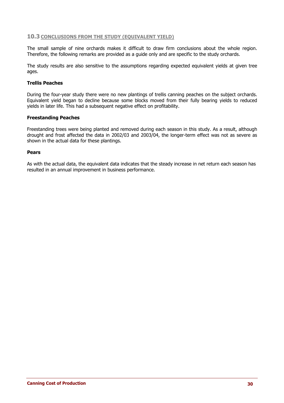#### **10.3 CONCLUSIONS FROM THE STUDY (EQUIVALENT YIELD)**

The small sample of nine orchards makes it difficult to draw firm conclusions about the whole region. Therefore, the following remarks are provided as a guide only and are specific to the study orchards.

The study results are also sensitive to the assumptions regarding expected equivalent yields at given tree ages.

#### **Trellis Peaches**

During the four-year study there were no new plantings of trellis canning peaches on the subject orchards. Equivalent yield began to decline because some blocks moved from their fully bearing yields to reduced yields in later life. This had a subsequent negative effect on profitability.

#### **Freestanding Peaches**

Freestanding trees were being planted and removed during each season in this study. As a result, although drought and frost affected the data in 2002/03 and 2003/04, the longer-term effect was not as severe as shown in the actual data for these plantings.

#### **Pears**

As with the actual data, the equivalent data indicates that the steady increase in net return each season has resulted in an annual improvement in business performance.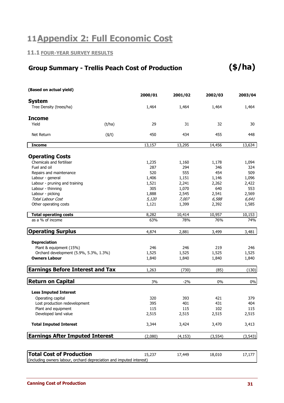### **11Appendix 2: Full Economic Cost**

#### **11.1 FOUR-YEAR SURVEY RESULTS**

#### **(\$/ha) Group Summary - Trellis Peach Cost of Production**

| (Based on actual yield)                                              |              |         |          |          |          |
|----------------------------------------------------------------------|--------------|---------|----------|----------|----------|
|                                                                      |              | 2000/01 | 2001/02  | 2002/03  | 2003/04  |
| <b>System</b>                                                        |              |         |          |          |          |
| Tree Density (trees/ha)                                              |              | 1,464   | 1,464    | 1,464    | 1,464    |
| <b>Income</b>                                                        |              |         |          |          |          |
| Yield                                                                | (t/ha)       | 29      | 31       | 32       | 30       |
| Net Return                                                           | $($ \$/t $)$ | 450     | 434      | 455      | 448      |
| <b>Income</b>                                                        |              | 13,157  | 13,295   | 14,456   | 13,634   |
|                                                                      |              |         |          |          |          |
| <b>Operating Costs</b>                                               |              |         |          |          |          |
| Chemicals and fertiliser                                             |              | 1,235   | 1,160    | 1,178    | 1,094    |
| Fuel and oil                                                         |              | 287     | 294      | 346      | 324      |
| Repairs and maintenance                                              |              | 520     | 555      | 454      | 509      |
| Labour - general                                                     |              | 1,406   | 1,151    | 1,146    | 1,096    |
| Labour - pruning and training                                        |              | 1,521   | 2,241    | 2,262    | 2,422    |
| Labour - thinning                                                    |              | 305     | 1,070    | 640      | 553      |
| Labour - picking                                                     |              | 1,888   | 2,545    | 2,541    | 2,569    |
| <b>Total Labour Cost</b>                                             |              | 5,120   | 7,007    | 6,588    | 6,641    |
| Other operating costs                                                |              | 1,121   | 1,399    | 2,392    | 1,585    |
| <b>Total operating costs</b>                                         |              | 8,282   | 10,414   | 10,957   | 10,153   |
| as a % of income                                                     |              | 63%     | 78%      | 76%      | 74%      |
| <b>Operating Surplus</b>                                             |              | 4,874   | 2,881    | 3,499    | 3,481    |
| <b>Depreciation</b>                                                  |              |         |          |          |          |
| Plant & equipment (15%)                                              |              | 246     | 246      | 219      | 246      |
| Orchard development (5.9%, 5.3%, 1.3%)                               |              | 1,525   | 1,525    | 1,525    | 1,525    |
| <b>Owners Labour</b>                                                 |              | 1,840   | 1,840    | 1,840    | 1,840    |
| <b>Earnings Before Interest and Tax</b>                              |              | 1,263   | (730)    | (85)     | (130)    |
|                                                                      |              |         |          |          |          |
| <b>Return on Capital</b>                                             |              | 3%      | $-2%$    | 0%       | $0\%$    |
| <b>Less Imputed Interest</b>                                         |              |         |          |          |          |
| Operating capital                                                    |              | 320     | 393      | 421      | 379      |
| Lost production redevelopment                                        |              | 395     | 401      | 431      | 404      |
| Plant and equipment                                                  |              | 115     | 115      | 102      | 115      |
| Developed land value                                                 |              | 2,515   | 2,515    | 2,515    | 2,515    |
| <b>Total Imputed Interest</b>                                        |              | 3,344   | 3,424    | 3,470    | 3,413    |
| <b>Earnings After Imputed Interest</b>                               |              | (2,080) | (4, 153) | (3, 554) | (3, 543) |
|                                                                      |              |         |          |          |          |
| <b>Total Cost of Production</b>                                      |              | 15,237  | 17,449   | 18,010   | 17,177   |
| (including owners labour, orchard depreciation and imputed interest) |              |         |          |          |          |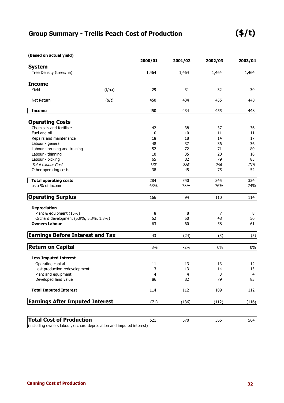### **Group Summary - Trellis Peach Cost of Production**

### **(\$/t)**

| (Based on actual yield)                                              |              |         |         |         |         |
|----------------------------------------------------------------------|--------------|---------|---------|---------|---------|
|                                                                      |              | 2000/01 | 2001/02 | 2002/03 | 2003/04 |
| <b>System</b>                                                        |              |         |         |         |         |
| Tree Density (trees/ha)                                              |              | 1,464   | 1,464   | 1,464   | 1,464   |
| <b>Income</b>                                                        |              |         |         |         |         |
| Yield                                                                | (t/ha)       | 29      | 31      | 32      | 30      |
| Net Return                                                           | $($ \$/t $)$ | 450     | 434     | 455     | 448     |
| <b>Income</b>                                                        |              | 450     | 434     | 455     | 448     |
|                                                                      |              |         |         |         |         |
| <b>Operating Costs</b>                                               |              |         |         |         |         |
| Chemicals and fertiliser                                             |              | 42      | 38      | 37      | 36      |
| Fuel and oil                                                         |              | 10      | 10      | 11      | 11      |
| Repairs and maintenance                                              |              | 18      | 18      | 14      | 17      |
| Labour - general                                                     |              | 48      | 37      | 36      | 36      |
| Labour - pruning and training                                        |              | 52      | 72      | 71      | 80      |
| Labour - thinning                                                    |              | 10      | 35      | 20      | 18      |
| Labour - picking                                                     |              | 65      | 82      | 79      | 85      |
| Total Labour Cost                                                    |              | 175     | 226     | 206     | 218     |
| Other operating costs                                                |              | 38      | 45      | 75      | 52      |
| <b>Total operating costs</b>                                         |              | 284     | 340     | 345     | 334     |
| as a % of income                                                     |              | 63%     | 78%     | 76%     | 74%     |
| <b>Operating Surplus</b>                                             |              | 166     | 94      | 110     | 114     |
| <b>Depreciation</b>                                                  |              |         |         |         |         |
| Plant & equipment (15%)                                              |              | 8       | 8       | 7       | 8       |
| Orchard development (5.9%, 5.3%, 1.3%)                               |              | 52      | 50      | 48      | 50      |
| <b>Owners Labour</b>                                                 |              | 63      | 60      | 58      | 61      |
| <b>Earnings Before Interest and Tax</b>                              |              | 43      | (24)    | (3)     | (5)     |
|                                                                      |              |         |         |         |         |
| <b>Return on Capital</b>                                             |              | 3%      | $-2%$   | 0%      | $0\%$   |
| <b>Less Imputed Interest</b>                                         |              |         |         |         |         |
| Operating capital                                                    |              | 11      | 13      | 13      | 12      |
| Lost production redevelopment                                        |              | 13      | 13      | 14      | 13      |
| Plant and equipment                                                  |              | 4       | 4       | 3       | 4       |
| Developed land value                                                 |              | 86      | 82      | 79      | 83      |
| <b>Total Imputed Interest</b>                                        |              | 114     | 112     | 109     | 112     |
| <b>Earnings After Imputed Interest</b>                               |              | (71)    | (136)   | (112)   | (116)   |
|                                                                      |              |         |         |         |         |
| <b>Total Cost of Production</b>                                      |              | 521     | 570     | 566     | 564     |
| (including owners labour, orchard depreciation and imputed interest) |              |         |         |         |         |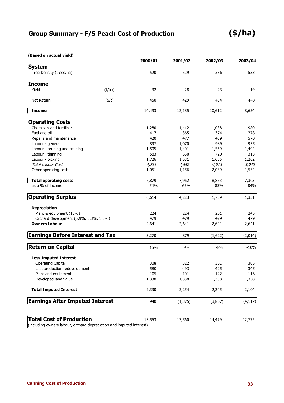### **Group Summary - F/S Peach Cost of Production**

### **(\$/ha)**

| (Based on actual yield)                                              |              |              |              |              |              |
|----------------------------------------------------------------------|--------------|--------------|--------------|--------------|--------------|
|                                                                      |              | 2000/01      | 2001/02      | 2002/03      | 2003/04      |
| <b>System</b>                                                        |              |              |              |              |              |
| Tree Density (trees/ha)                                              |              | 520          | 529          | 536          | 533          |
| <b>Income</b>                                                        |              |              |              |              |              |
| Yield                                                                | (t/ha)       | 32           | 28           | 23           | 19           |
|                                                                      |              |              |              |              |              |
| Net Return                                                           | $($ \$/t $)$ | 450          | 429          | 454          | 448          |
| <b>Income</b>                                                        |              | 14,493       | 12,185       | 10,612       | 8,654        |
|                                                                      |              |              |              |              |              |
| <b>Operating Costs</b>                                               |              |              |              |              |              |
| Chemicals and fertiliser                                             |              | 1,280        | 1,412        | 1,088        | 980          |
| Fuel and oil                                                         |              | 417          | 365<br>477   | 374          | 278          |
| Repairs and maintenance                                              |              | 420<br>897   |              | 439          | 570          |
| Labour - general                                                     |              |              | 1,070        | 989          | 935          |
| Labour - pruning and training                                        |              | 1,505<br>583 | 1,401<br>550 | 1,569<br>720 | 1,492<br>313 |
| Labour - thinning<br>Labour - picking                                |              | 1,726        | 1,531        | 1,635        | 1,202        |
| <b>Total Labour Cost</b>                                             |              | 4,711        | 4,552        | 4,913        | 3,942        |
| Other operating costs                                                |              | 1,051        | 1,156        | 2,039        | 1,532        |
|                                                                      |              |              |              |              |              |
| <b>Total operating costs</b>                                         |              | 7,879        | 7,962        | 8,853        | 7,303        |
| as a % of income                                                     |              | 54%          | 65%          | 83%          | 84%          |
| <b>Operating Surplus</b>                                             |              | 6,614        | 4,223        | 1,759        | 1,351        |
| <b>Depreciation</b>                                                  |              |              |              |              |              |
| Plant & equipment (15%)                                              |              | 224          | 224          | 261          | 245          |
| Orchard development (5.9%, 5.3%, 1.3%)                               |              | 479          | 479          | 479          | 479          |
| <b>Owners Labour</b>                                                 |              | 2,641        | 2,641        | 2,641        | 2,641        |
| <b>Earnings Before Interest and Tax</b>                              |              | 3,270        | 879          | (1,622)      | (2,014)      |
|                                                                      |              |              |              |              |              |
| <b>Return on Capital</b>                                             |              | 16%          | 4%           | $-8%$        | $-10%$       |
| <b>Less Imputed Interest</b>                                         |              |              |              |              |              |
| <b>Operating Capital</b>                                             |              | 308          | 322          | 361          | 305          |
| Lost production redevelopment                                        |              | 580          | 493          | 425          | 345          |
| Plant and equipment                                                  |              | 105          | 101          | 122          | 116          |
| Developed land value                                                 |              | 1,338        | 1,338        | 1,338        | 1,338        |
|                                                                      |              |              |              |              |              |
| <b>Total Imputed Interest</b>                                        |              | 2,330        | 2,254        | 2,245        | 2,104        |
| <b>Earnings After Imputed Interest</b>                               |              | 940          | (1, 375)     | (3,867)      | (4, 117)     |
|                                                                      |              |              |              |              |              |
| <b>Total Cost of Production</b>                                      |              | 13,553       | 13,560       | 14,479       | 12,772       |
| (including owners labour, orchard depreciation and imputed interest) |              |              |              |              |              |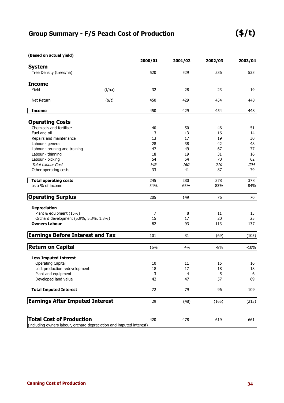### **Group Summary - F/S Peach Cost of Production**

### **(\$/t)**

| (Based on actual yield)                                                                                 |              |         |            |         |         |
|---------------------------------------------------------------------------------------------------------|--------------|---------|------------|---------|---------|
|                                                                                                         |              | 2000/01 | 2001/02    | 2002/03 | 2003/04 |
| <b>System</b><br>Tree Density (trees/ha)                                                                |              | 520     | 529        | 536     | 533     |
| <b>Income</b>                                                                                           |              |         |            |         |         |
| Yield                                                                                                   | (t/ha)       | 32      | 28         | 23      | 19      |
| Net Return                                                                                              | $($ \$/t $)$ | 450     | 429        | 454     | 448     |
| <b>Income</b>                                                                                           |              | 450     | 429        | 454     | 448     |
| <b>Operating Costs</b>                                                                                  |              |         |            |         |         |
| Chemicals and fertiliser                                                                                |              | 40      | 50         | 46      | 51      |
| Fuel and oil                                                                                            |              | 13      | 13         | 16      | 14      |
| Repairs and maintenance                                                                                 |              | 13      | 17         | 19      | 30      |
| Labour - general                                                                                        |              | 28      | 38         | 42      | 48      |
| Labour - pruning and training                                                                           |              | 47      | 49         | 67      | 77      |
| Labour - thinning                                                                                       |              | 18      | 19         | 31      | 16      |
| Labour - picking                                                                                        |              | 54      | 54         | 70      | 62      |
| Total Labour Cost                                                                                       |              | 146     | <i>160</i> | 210     | 204     |
| Other operating costs                                                                                   |              | 33      | 41         | 87      | 79      |
| <b>Total operating costs</b>                                                                            |              | 245     | 280        | 378     | 378     |
| as a % of income                                                                                        |              | 54%     | 65%        | 83%     | 84%     |
| <b>Operating Surplus</b>                                                                                |              | 205     | 149        | 76      | 70      |
| <b>Depreciation</b>                                                                                     |              |         |            |         |         |
| Plant & equipment (15%)                                                                                 |              | 7       | 8          | 11      | 13      |
| Orchard development (5.9%, 5.3%, 1.3%)                                                                  |              | 15      | 17         | 20      | 25      |
| <b>Owners Labour</b>                                                                                    |              | 82      | 93         | 113     | 137     |
| <b>Earnings Before Interest and Tax</b>                                                                 |              | 101     | 31         | (69)    | (105)   |
| <b>Return on Capital</b>                                                                                |              | 16%     | 4%         | $-8%$   | $-10%$  |
| <b>Less Imputed Interest</b>                                                                            |              |         |            |         |         |
| <b>Operating Capital</b>                                                                                |              | 10      | 11         | 15      | 16      |
| Lost production redevelopment                                                                           |              | 18      | $17\,$     | 18      | $18\,$  |
| Plant and equipment                                                                                     |              | 3       | 4          | 5       | 6       |
| Developed land value                                                                                    |              | 42      | 47         | 57      | 69      |
| <b>Total Imputed Interest</b>                                                                           |              | 72      | 79         | 96      | 109     |
| <b>Earnings After Imputed Interest</b>                                                                  |              | 29      | (48)       | (165)   | (213)   |
|                                                                                                         |              |         |            |         |         |
| <b>Total Cost of Production</b><br>(including owners labour, orchard depreciation and imputed interest) |              | 420     | 478        | 619     | 661     |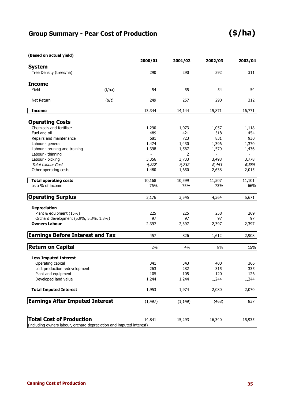### **Group Summary - Pear Cost of Production**

### **(\$/ha)**

| (Based on actual yield)                                              |              |          |          |         |         |
|----------------------------------------------------------------------|--------------|----------|----------|---------|---------|
|                                                                      |              | 2000/01  | 2001/02  | 2002/03 | 2003/04 |
| <b>System</b>                                                        |              |          |          |         |         |
| Tree Density (trees/ha)                                              |              | 290      | 290      | 292     | 311     |
| <b>Income</b>                                                        |              |          |          |         |         |
| Yield                                                                | (t/ha)       | 54       | 55       | 54      | 54      |
| Net Return                                                           | $($ \$/t $)$ | 249      | 257      | 290     | 312     |
| <b>Income</b>                                                        |              | 13,344   | 14,144   | 15,871  | 16,771  |
|                                                                      |              |          |          |         |         |
| <b>Operating Costs</b>                                               |              |          |          |         |         |
| Chemicals and fertiliser                                             |              | 1,290    | 1,073    | 1,057   | 1,118   |
| Fuel and oil                                                         |              | 489      | 421      | 518     | 454     |
| Repairs and maintenance                                              |              | 681      | 723      | 831     | 930     |
| Labour - general                                                     |              | 1,474    | 1,430    | 1,396   | 1,370   |
| Labour - pruning and training                                        |              | 1,398    | 1,567    | 1,570   | 1,436   |
| Labour - thinning                                                    |              |          | 2        |         |         |
| Labour - picking                                                     |              | 3,356    | 3,733    | 3,498   | 3,778   |
| <b>Total Labour Cost</b>                                             |              | 6,228    | 6,732    | 6,463   | 6,585   |
| Other operating costs                                                |              | 1,480    | 1,650    | 2,638   | 2,015   |
| <b>Total operating costs</b>                                         |              | 10,168   | 10,599   | 11,507  | 11,101  |
| as a % of income                                                     |              | 76%      | 75%      | 73%     | 66%     |
| <b>Operating Surplus</b>                                             |              | 3,176    | 3,545    | 4,364   | 5,671   |
| <b>Depreciation</b>                                                  |              |          |          |         |         |
| Plant & equipment (15%)                                              |              | 225      | 225      | 258     | 269     |
| Orchard development (5.9%, 5.3%, 1.3%)                               |              | 97       | 97       | 97      | 97      |
| <b>Owners Labour</b>                                                 |              | 2,397    | 2,397    | 2,397   | 2,397   |
| <b>Earnings Before Interest and Tax</b>                              |              | 457      | 826      | 1,612   | 2,908   |
|                                                                      |              |          |          |         |         |
| <b>Return on Capital</b>                                             |              | 2%       | 4%       | 8%      | 15%     |
| <b>Less Imputed Interest</b>                                         |              |          |          |         |         |
| Operating capital                                                    |              | 341      | 343      | 400     | 366     |
| Lost production redevelopment                                        |              | 263      | 282      | 315     | 335     |
| Plant and equipment                                                  |              | 105      | 105      | 120     | 126     |
| Developed land value                                                 |              | 1,244    | 1,244    | 1,244   | 1,244   |
| <b>Total Imputed Interest</b>                                        |              | 1,953    | 1,974    | 2,080   | 2,070   |
| <b>Earnings After Imputed Interest</b>                               |              | (1, 497) | (1, 149) | (468)   | 837     |
|                                                                      |              |          |          |         |         |
| <b>Total Cost of Production</b>                                      |              | 14,841   | 15,293   | 16,340  | 15,935  |
| (including owners labour, orchard depreciation and imputed interest) |              |          |          |         |         |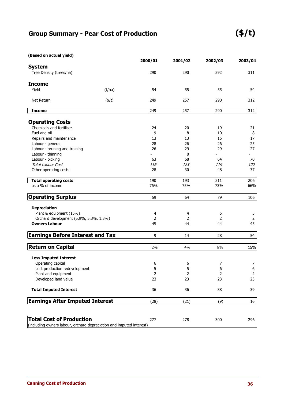### **Group Summary - Pear Cost of Production**

### **(\$/t)**

| (Based on actual yield)                                              |              |         |                |         |                  |
|----------------------------------------------------------------------|--------------|---------|----------------|---------|------------------|
|                                                                      |              | 2000/01 | 2001/02        | 2002/03 | 2003/04          |
| <b>System</b>                                                        |              |         |                |         |                  |
| Tree Density (trees/ha)                                              |              | 290     | 290            | 292     | 311              |
| <b>Income</b>                                                        |              |         |                |         |                  |
| Yield                                                                | (t/ha)       | 54      | 55             | 55      | 54               |
| Net Return                                                           | $($ \$/t $)$ | 249     | 257            | 290     | 312              |
| <b>Income</b>                                                        |              | 249     | 257            | 290     | 312              |
| <b>Operating Costs</b>                                               |              |         |                |         |                  |
| Chemicals and fertiliser                                             |              | 24      | 20             | 19      | 21               |
| Fuel and oil                                                         |              | 9       | 8              | 10      | 8                |
| Repairs and maintenance                                              |              | 13      | 13             | 15      | 17               |
| Labour - general                                                     |              | 28      | 26             | 26      | 25               |
| Labour - pruning and training                                        |              | 26      | 29             | 29      | 27               |
| Labour - thinning                                                    |              |         | 0              |         |                  |
| Labour - picking                                                     |              | 63      | 68             | 64      | 70               |
| <b>Total Labour Cost</b>                                             |              | 116     | 123            | 119     | 122              |
| Other operating costs                                                |              | 28      | 30             | 48      | 37               |
|                                                                      |              |         |                |         |                  |
| <b>Total operating costs</b>                                         |              | 190     | 193            | 211     | 206              |
| as a % of income                                                     |              | 76%     | 75%            | 73%     | 66%              |
| <b>Operating Surplus</b>                                             |              | 59      | 64             | 79      | 106              |
| <b>Depreciation</b>                                                  |              |         |                |         |                  |
| Plant & equipment (15%)                                              |              | 4       | 4              | 5       | 5                |
| Orchard development (5.9%, 5.3%, 1.3%)                               |              | 2       | 2              | 2       | 2                |
| <b>Owners Labour</b>                                                 |              | 45      | 44             | 44      | 45               |
| <b>Earnings Before Interest and Tax</b>                              |              | 9       | 14             | 28      | 54               |
|                                                                      |              |         |                |         |                  |
| <b>Return on Capital</b>                                             |              | 2%      | 4%             | $8\%$   | 15%              |
| <b>Less Imputed Interest</b>                                         |              |         |                |         |                  |
| Operating capital                                                    |              | 6       | 6              | 7       | 7                |
| Lost production redevelopment                                        |              | 5       | 5              | 6       | $\boldsymbol{6}$ |
| Plant and equipment                                                  |              | 2       | $\overline{2}$ | 2       | $\overline{2}$   |
| Developed land value                                                 |              | 23      | 23             | 23      | 23               |
| <b>Total Imputed Interest</b>                                        |              | 36      | 36             | 38      | 39               |
| <b>Earnings After Imputed Interest</b>                               |              | (28)    | (21)           | (9)     | 16               |
|                                                                      |              |         |                |         |                  |
| <b>Total Cost of Production</b>                                      |              | 277     | 278            | 300     | 296              |
| (including owners labour, orchard depreciation and imputed interest) |              |         |                |         |                  |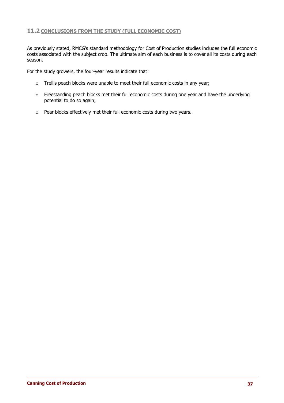#### **11.2 CONCLUSIONS FROM THE STUDY (FULL ECONOMIC COST)**

As previously stated, RMCG's standard methodology for Cost of Production studies includes the full economic costs associated with the subject crop. The ultimate aim of each business is to cover all its costs during each season.

For the study growers, the four-year results indicate that:

- o Trellis peach blocks were unable to meet their full economic costs in any year;
- o Freestanding peach blocks met their full economic costs during one year and have the underlying potential to do so again;
- o Pear blocks effectively met their full economic costs during two years.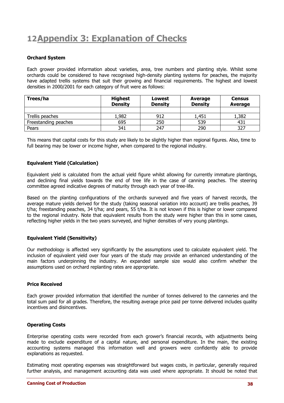### **12Appendix 3: Explanation of Checks**

#### **Orchard System**

Each grower provided information about varieties, area, tree numbers and planting style. Whilst some orchards could be considered to have recognised high-density planting systems for peaches, the majority have adapted trellis systems that suit their growing and financial requirements. The highest and lowest densities in 2000/2001 for each category of fruit were as follows:

| Trees/ha             | <b>Highest</b><br><b>Density</b> | Lowest<br><b>Density</b> | Average<br><b>Density</b> | <b>Census</b><br>Average |
|----------------------|----------------------------------|--------------------------|---------------------------|--------------------------|
|                      |                                  |                          |                           |                          |
| Trellis peaches      | 1,982                            | 912                      | 1,451                     | 1,382                    |
| Freestanding peaches | 695                              | 250                      | 539                       | 431                      |
| Pears                | 341                              | 247                      | 290                       | 327                      |

This means that capital costs for this study are likely to be slightly higher than regional figures. Also, time to full bearing may be lower or income higher, when compared to the regional industry.

#### **Equivalent Yield (Calculation)**

Equivalent yield is calculated from the actual yield figure whilst allowing for currently immature plantings, and declining final yields towards the end of tree life in the case of canning peaches. The steering committee agreed indicative degrees of maturity through each year of tree-life.

Based on the planting configurations of the orchards surveyed and five years of harvest records, the average mature yields derived for the study (taking seasonal variation into account) are trellis peaches, 39 t/ha; freestanding peaches, 34 t/ha; and pears, 55 t/ha. It is not known if this is higher or lower compared to the regional industry. Note that equivalent results from the study were higher than this in some cases, reflecting higher yields in the two years surveyed, and higher densities of very young plantings.

#### **Equivalent Yield (Sensitivity)**

Our methodology is affected very significantly by the assumptions used to calculate equivalent yield. The inclusion of equivalent yield over four years of the study may provide an enhanced understanding of the main factors underpinning the industry. An expanded sample size would also confirm whether the assumptions used on orchard replanting rates are appropriate.

#### **Price Received**

Each grower provided information that identified the number of tonnes delivered to the canneries and the total sum paid for all grades. Therefore, the resulting average price paid per tonne delivered includes quality incentives and disincentives.

#### **Operating Costs**

Enterprise operating costs were recorded from each grower's financial records, with adjustments being made to exclude expenditure of a capital nature, and personal expenditure. In the main, the existing accounting systems managed this information well and growers were confidently able to provide explanations as requested.

Estimating most operating expenses was straightforward but wages costs, in particular, generally required further analysis, and management accounting data was used where appropriate. It should be noted that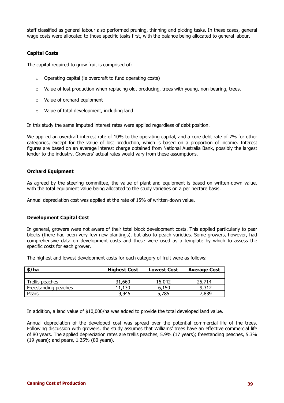staff classified as general labour also performed pruning, thinning and picking tasks. In these cases, general wage costs were allocated to those specific tasks first, with the balance being allocated to general labour.

#### **Capital Costs**

The capital required to grow fruit is comprised of:

- o Operating capital (ie overdraft to fund operating costs)
- $\circ$  Value of lost production when replacing old, producing, trees with young, non-bearing, trees.
- o Value of orchard equipment
- o Value of total development, including land

In this study the same imputed interest rates were applied regardless of debt position.

We applied an overdraft interest rate of 10% to the operating capital, and a core debt rate of 7% for other categories, except for the value of lost production, which is based on a proportion of income. Interest figures are based on an average interest charge obtained from National Australia Bank, possibly the largest lender to the industry. Growers' actual rates would vary from these assumptions.

#### **Orchard Equipment**

As agreed by the steering committee, the value of plant and equipment is based on written-down value, with the total equipment value being allocated to the study varieties on a per hectare basis.

Annual depreciation cost was applied at the rate of 15% of written-down value.

#### **Development Capital Cost**

In general, growers were not aware of their total block development costs. This applied particularly to pear blocks (there had been very few new plantings), but also to peach varieties. Some growers, however, had comprehensive data on development costs and these were used as a template by which to assess the specific costs for each grower.

The highest and lowest development costs for each category of fruit were as follows:

| \$/ha                | <b>Highest Cost</b> | <b>Lowest Cost</b> | <b>Average Cost</b> |
|----------------------|---------------------|--------------------|---------------------|
|                      |                     |                    |                     |
| Trellis peaches      | 31,660              | 15,042             | 25,714              |
| Freestanding peaches | 11,130              | 6,150              | 9,312               |
| Pears                | 9,945               | 5,785              | 7,839               |

In addition, a land value of \$10,000/ha was added to provide the total developed land value.

Annual depreciation of the developed cost was spread over the potential commercial life of the trees. Following discussion with growers, the study assumes that Williams' trees have an effective commercial life of 80 years. The applied depreciation rates are trellis peaches, 5.9% (17 years); freestanding peaches, 5.3% (19 years); and pears, 1.25% (80 years).